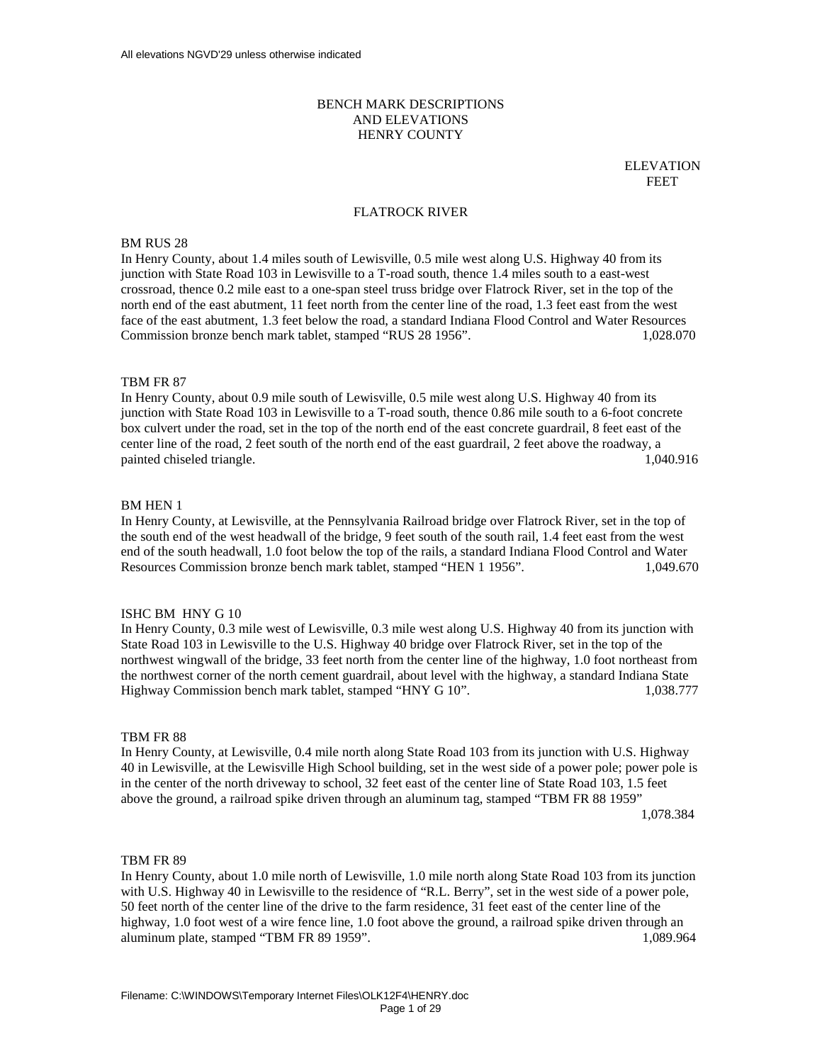# BENCH MARK DESCRIPTIONS AND ELEVATIONS HENRY COUNTY

ELEVATION **FREE TERM** In the set of the set of the set of the set of the set of the set of the set of the set of the set of the set of the set of the set of the set of the set of the set of the set of the set of the set of the set o

### FLATROCK RIVER

# BM RUS 28

In Henry County, about 1.4 miles south of Lewisville, 0.5 mile west along U.S. Highway 40 from its junction with State Road 103 in Lewisville to a T-road south, thence 1.4 miles south to a east-west crossroad, thence 0.2 mile east to a one-span steel truss bridge over Flatrock River, set in the top of the north end of the east abutment, 11 feet north from the center line of the road, 1.3 feet east from the west face of the east abutment, 1.3 feet below the road, a standard Indiana Flood Control and Water Resources Commission bronze bench mark tablet, stamped "RUS 28 1956". 1,028.070

## TBM FR 87

In Henry County, about 0.9 mile south of Lewisville, 0.5 mile west along U.S. Highway 40 from its junction with State Road 103 in Lewisville to a T-road south, thence 0.86 mile south to a 6-foot concrete box culvert under the road, set in the top of the north end of the east concrete guardrail, 8 feet east of the center line of the road, 2 feet south of the north end of the east guardrail, 2 feet above the roadway, a painted chiseled triangle. 1,040.916

## BM HEN 1

In Henry County, at Lewisville, at the Pennsylvania Railroad bridge over Flatrock River, set in the top of the south end of the west headwall of the bridge, 9 feet south of the south rail, 1.4 feet east from the west end of the south headwall, 1.0 foot below the top of the rails, a standard Indiana Flood Control and Water Resources Commission bronze bench mark tablet, stamped "HEN 1 1956". 1,049.670

## ISHC BM HNY G 10

In Henry County, 0.3 mile west of Lewisville, 0.3 mile west along U.S. Highway 40 from its junction with State Road 103 in Lewisville to the U.S. Highway 40 bridge over Flatrock River, set in the top of the northwest wingwall of the bridge, 33 feet north from the center line of the highway, 1.0 foot northeast from the northwest corner of the north cement guardrail, about level with the highway, a standard Indiana State Highway Commission bench mark tablet, stamped "HNY G 10". 1,038.777

#### TBM FR 88

In Henry County, at Lewisville, 0.4 mile north along State Road 103 from its junction with U.S. Highway 40 in Lewisville, at the Lewisville High School building, set in the west side of a power pole; power pole is in the center of the north driveway to school, 32 feet east of the center line of State Road 103, 1.5 feet above the ground, a railroad spike driven through an aluminum tag, stamped "TBM FR 88 1959" 1,078.384

### TBM FR 89

In Henry County, about 1.0 mile north of Lewisville, 1.0 mile north along State Road 103 from its junction with U.S. Highway 40 in Lewisville to the residence of "R.L. Berry", set in the west side of a power pole, 50 feet north of the center line of the drive to the farm residence, 31 feet east of the center line of the highway, 1.0 foot west of a wire fence line, 1.0 foot above the ground, a railroad spike driven through an aluminum plate, stamped "TBM FR 89 1959". 1,089.964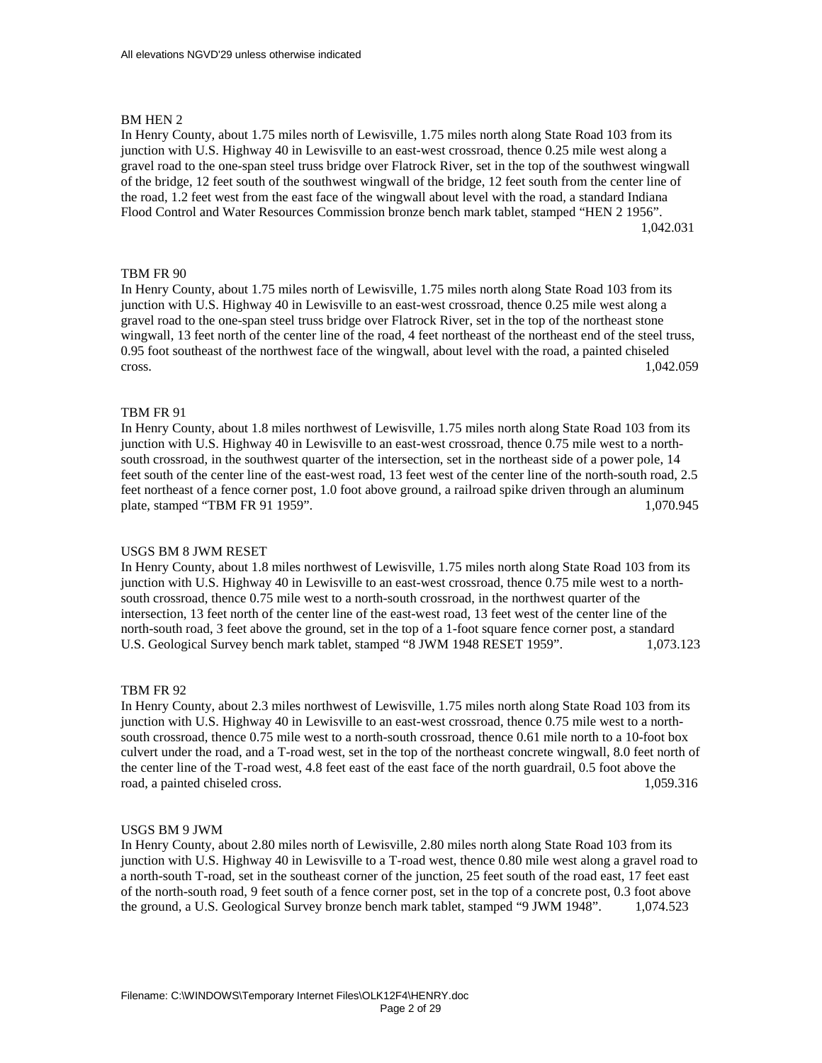In Henry County, about 1.75 miles north of Lewisville, 1.75 miles north along State Road 103 from its junction with U.S. Highway 40 in Lewisville to an east-west crossroad, thence 0.25 mile west along a gravel road to the one-span steel truss bridge over Flatrock River, set in the top of the southwest wingwall of the bridge, 12 feet south of the southwest wingwall of the bridge, 12 feet south from the center line of the road, 1.2 feet west from the east face of the wingwall about level with the road, a standard Indiana Flood Control and Water Resources Commission bronze bench mark tablet, stamped "HEN 2 1956". 1,042.031

# TBM FR 90

In Henry County, about 1.75 miles north of Lewisville, 1.75 miles north along State Road 103 from its junction with U.S. Highway 40 in Lewisville to an east-west crossroad, thence 0.25 mile west along a gravel road to the one-span steel truss bridge over Flatrock River, set in the top of the northeast stone wingwall, 13 feet north of the center line of the road, 4 feet northeast of the northeast end of the steel truss, 0.95 foot southeast of the northwest face of the wingwall, about level with the road, a painted chiseled cross. 1,042.059

## TBM FR 91

In Henry County, about 1.8 miles northwest of Lewisville, 1.75 miles north along State Road 103 from its junction with U.S. Highway 40 in Lewisville to an east-west crossroad, thence 0.75 mile west to a northsouth crossroad, in the southwest quarter of the intersection, set in the northeast side of a power pole, 14 feet south of the center line of the east-west road, 13 feet west of the center line of the north-south road, 2.5 feet northeast of a fence corner post, 1.0 foot above ground, a railroad spike driven through an aluminum plate, stamped "TBM FR 91 1959". 1,070.945

#### USGS BM 8 JWM RESET

In Henry County, about 1.8 miles northwest of Lewisville, 1.75 miles north along State Road 103 from its junction with U.S. Highway 40 in Lewisville to an east-west crossroad, thence 0.75 mile west to a northsouth crossroad, thence 0.75 mile west to a north-south crossroad, in the northwest quarter of the intersection, 13 feet north of the center line of the east-west road, 13 feet west of the center line of the north-south road, 3 feet above the ground, set in the top of a 1-foot square fence corner post, a standard U.S. Geological Survey bench mark tablet, stamped "8 JWM 1948 RESET 1959". 1,073.123

### TBM FR 92

In Henry County, about 2.3 miles northwest of Lewisville, 1.75 miles north along State Road 103 from its junction with U.S. Highway 40 in Lewisville to an east-west crossroad, thence 0.75 mile west to a northsouth crossroad, thence 0.75 mile west to a north-south crossroad, thence 0.61 mile north to a 10-foot box culvert under the road, and a T-road west, set in the top of the northeast concrete wingwall, 8.0 feet north of the center line of the T-road west, 4.8 feet east of the east face of the north guardrail, 0.5 foot above the road, a painted chiseled cross. 1,059.316

#### USGS BM 9 JWM

In Henry County, about 2.80 miles north of Lewisville, 2.80 miles north along State Road 103 from its junction with U.S. Highway 40 in Lewisville to a T-road west, thence 0.80 mile west along a gravel road to a north-south T-road, set in the southeast corner of the junction, 25 feet south of the road east, 17 feet east of the north-south road, 9 feet south of a fence corner post, set in the top of a concrete post, 0.3 foot above the ground, a U.S. Geological Survey bronze bench mark tablet, stamped "9 JWM 1948". 1,074.523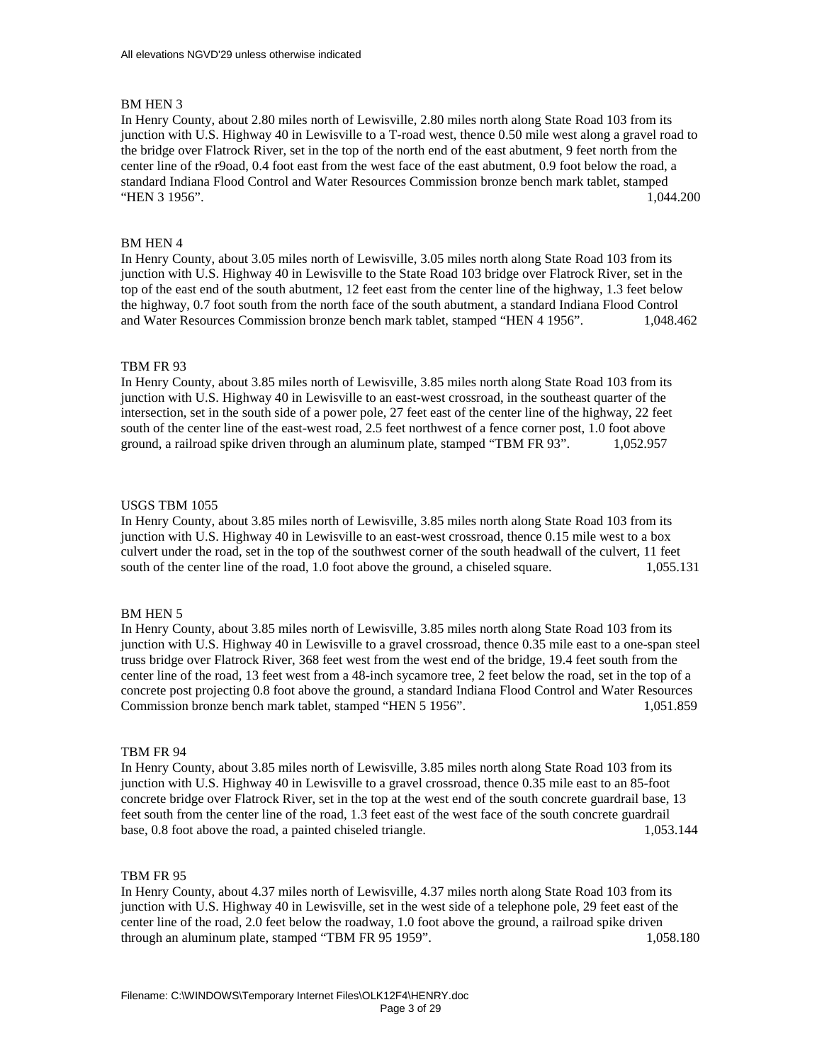In Henry County, about 2.80 miles north of Lewisville, 2.80 miles north along State Road 103 from its junction with U.S. Highway 40 in Lewisville to a T-road west, thence 0.50 mile west along a gravel road to the bridge over Flatrock River, set in the top of the north end of the east abutment, 9 feet north from the center line of the r9oad, 0.4 foot east from the west face of the east abutment, 0.9 foot below the road, a standard Indiana Flood Control and Water Resources Commission bronze bench mark tablet, stamped "HEN 3 1956". 1,044.200

## BM HEN 4

In Henry County, about 3.05 miles north of Lewisville, 3.05 miles north along State Road 103 from its junction with U.S. Highway 40 in Lewisville to the State Road 103 bridge over Flatrock River, set in the top of the east end of the south abutment, 12 feet east from the center line of the highway, 1.3 feet below the highway, 0.7 foot south from the north face of the south abutment, a standard Indiana Flood Control and Water Resources Commission bronze bench mark tablet, stamped "HEN 4 1956". 1,048.462

### TBM FR 93

In Henry County, about 3.85 miles north of Lewisville, 3.85 miles north along State Road 103 from its junction with U.S. Highway 40 in Lewisville to an east-west crossroad, in the southeast quarter of the intersection, set in the south side of a power pole, 27 feet east of the center line of the highway, 22 feet south of the center line of the east-west road, 2.5 feet northwest of a fence corner post, 1.0 foot above ground, a railroad spike driven through an aluminum plate, stamped "TBM FR 93". 1,052.957

#### USGS TBM 1055

In Henry County, about 3.85 miles north of Lewisville, 3.85 miles north along State Road 103 from its junction with U.S. Highway 40 in Lewisville to an east-west crossroad, thence 0.15 mile west to a box culvert under the road, set in the top of the southwest corner of the south headwall of the culvert, 11 feet south of the center line of the road, 1.0 foot above the ground, a chiseled square. 1,055.131

## BM HEN 5

In Henry County, about 3.85 miles north of Lewisville, 3.85 miles north along State Road 103 from its junction with U.S. Highway 40 in Lewisville to a gravel crossroad, thence 0.35 mile east to a one-span steel truss bridge over Flatrock River, 368 feet west from the west end of the bridge, 19.4 feet south from the center line of the road, 13 feet west from a 48-inch sycamore tree, 2 feet below the road, set in the top of a concrete post projecting 0.8 foot above the ground, a standard Indiana Flood Control and Water Resources Commission bronze bench mark tablet, stamped "HEN 5 1956". 1,051.859

## TBM FR 94

In Henry County, about 3.85 miles north of Lewisville, 3.85 miles north along State Road 103 from its junction with U.S. Highway 40 in Lewisville to a gravel crossroad, thence 0.35 mile east to an 85-foot concrete bridge over Flatrock River, set in the top at the west end of the south concrete guardrail base, 13 feet south from the center line of the road, 1.3 feet east of the west face of the south concrete guardrail base, 0.8 foot above the road, a painted chiseled triangle. 1,053.144

### TBM FR 95

In Henry County, about 4.37 miles north of Lewisville, 4.37 miles north along State Road 103 from its junction with U.S. Highway 40 in Lewisville, set in the west side of a telephone pole, 29 feet east of the center line of the road, 2.0 feet below the roadway, 1.0 foot above the ground, a railroad spike driven through an aluminum plate, stamped "TBM FR 95 1959". 1,058.180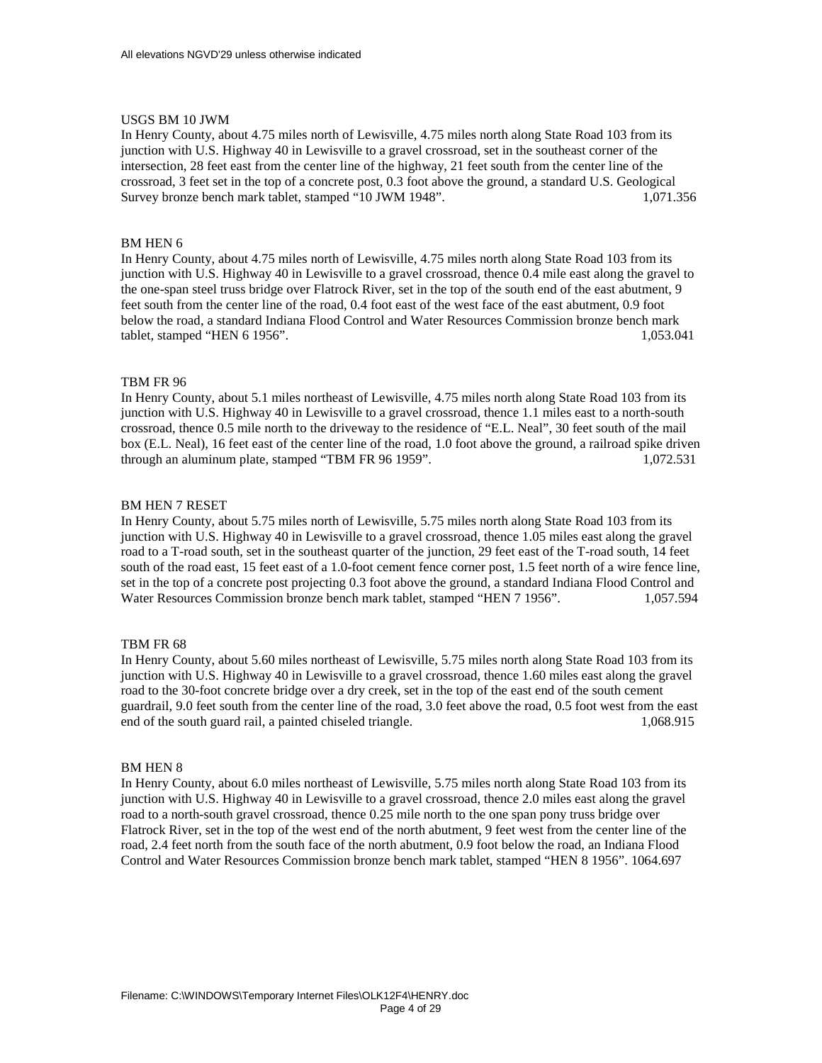## USGS BM 10 JWM

In Henry County, about 4.75 miles north of Lewisville, 4.75 miles north along State Road 103 from its junction with U.S. Highway 40 in Lewisville to a gravel crossroad, set in the southeast corner of the intersection, 28 feet east from the center line of the highway, 21 feet south from the center line of the crossroad, 3 feet set in the top of a concrete post, 0.3 foot above the ground, a standard U.S. Geological Survey bronze bench mark tablet, stamped "10 JWM 1948". 1,071.356

# BM HEN 6

In Henry County, about 4.75 miles north of Lewisville, 4.75 miles north along State Road 103 from its junction with U.S. Highway 40 in Lewisville to a gravel crossroad, thence 0.4 mile east along the gravel to the one-span steel truss bridge over Flatrock River, set in the top of the south end of the east abutment, 9 feet south from the center line of the road, 0.4 foot east of the west face of the east abutment, 0.9 foot below the road, a standard Indiana Flood Control and Water Resources Commission bronze bench mark tablet, stamped "HEN 6 1956". 1,053.041

## TBM FR 96

In Henry County, about 5.1 miles northeast of Lewisville, 4.75 miles north along State Road 103 from its junction with U.S. Highway 40 in Lewisville to a gravel crossroad, thence 1.1 miles east to a north-south crossroad, thence 0.5 mile north to the driveway to the residence of "E.L. Neal", 30 feet south of the mail box (E.L. Neal), 16 feet east of the center line of the road, 1.0 foot above the ground, a railroad spike driven through an aluminum plate, stamped "TBM FR 96 1959". 1,072.531

## BM HEN 7 RESET

In Henry County, about 5.75 miles north of Lewisville, 5.75 miles north along State Road 103 from its junction with U.S. Highway 40 in Lewisville to a gravel crossroad, thence 1.05 miles east along the gravel road to a T-road south, set in the southeast quarter of the junction, 29 feet east of the T-road south, 14 feet south of the road east, 15 feet east of a 1.0-foot cement fence corner post, 1.5 feet north of a wire fence line, set in the top of a concrete post projecting 0.3 foot above the ground, a standard Indiana Flood Control and Water Resources Commission bronze bench mark tablet, stamped "HEN 7 1956". 1,057.594

## TBM FR 68

In Henry County, about 5.60 miles northeast of Lewisville, 5.75 miles north along State Road 103 from its junction with U.S. Highway 40 in Lewisville to a gravel crossroad, thence 1.60 miles east along the gravel road to the 30-foot concrete bridge over a dry creek, set in the top of the east end of the south cement guardrail, 9.0 feet south from the center line of the road, 3.0 feet above the road, 0.5 foot west from the east end of the south guard rail, a painted chiseled triangle. 1,068.915

#### BM HEN 8

In Henry County, about 6.0 miles northeast of Lewisville, 5.75 miles north along State Road 103 from its junction with U.S. Highway 40 in Lewisville to a gravel crossroad, thence 2.0 miles east along the gravel road to a north-south gravel crossroad, thence 0.25 mile north to the one span pony truss bridge over Flatrock River, set in the top of the west end of the north abutment, 9 feet west from the center line of the road, 2.4 feet north from the south face of the north abutment, 0.9 foot below the road, an Indiana Flood Control and Water Resources Commission bronze bench mark tablet, stamped "HEN 8 1956". 1064.697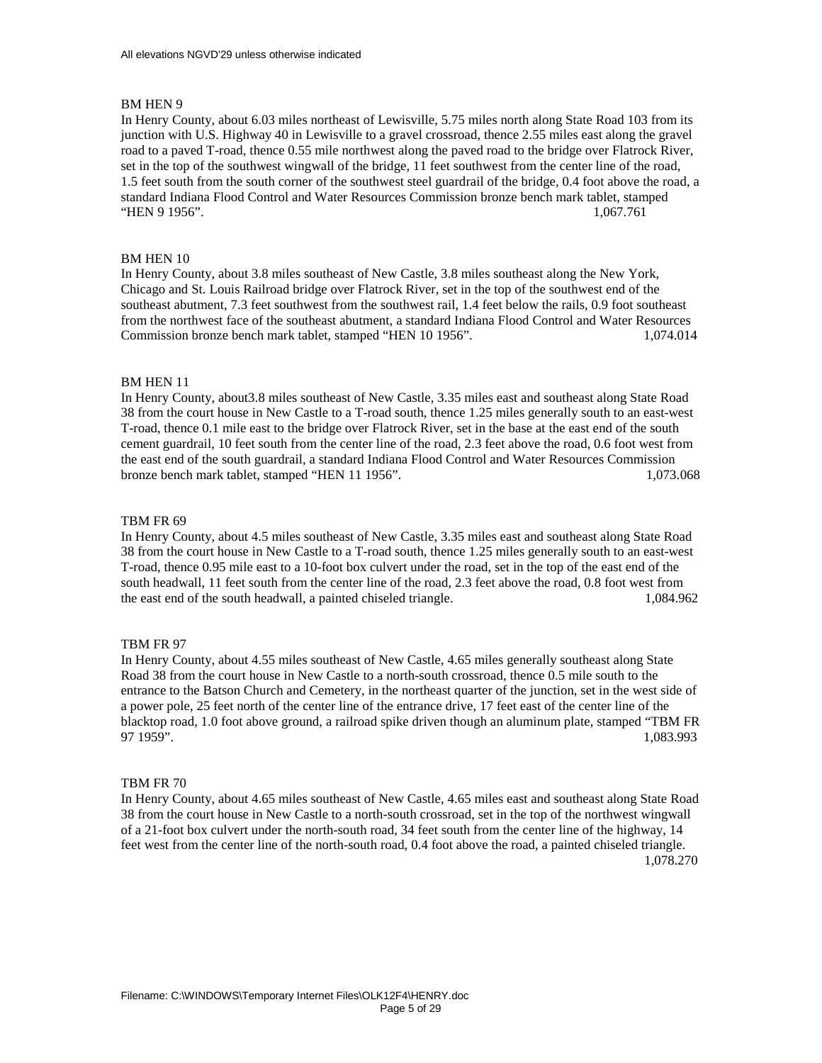In Henry County, about 6.03 miles northeast of Lewisville, 5.75 miles north along State Road 103 from its junction with U.S. Highway 40 in Lewisville to a gravel crossroad, thence 2.55 miles east along the gravel road to a paved T-road, thence 0.55 mile northwest along the paved road to the bridge over Flatrock River, set in the top of the southwest wingwall of the bridge, 11 feet southwest from the center line of the road, 1.5 feet south from the south corner of the southwest steel guardrail of the bridge, 0.4 foot above the road, a standard Indiana Flood Control and Water Resources Commission bronze bench mark tablet, stamped "HEN 9 1956". 1,067.761

### BM HEN 10

In Henry County, about 3.8 miles southeast of New Castle, 3.8 miles southeast along the New York, Chicago and St. Louis Railroad bridge over Flatrock River, set in the top of the southwest end of the southeast abutment, 7.3 feet southwest from the southwest rail, 1.4 feet below the rails, 0.9 foot southeast from the northwest face of the southeast abutment, a standard Indiana Flood Control and Water Resources Commission bronze bench mark tablet, stamped "HEN 10 1956". 1,074.014

#### BM HEN 11

In Henry County, about3.8 miles southeast of New Castle, 3.35 miles east and southeast along State Road 38 from the court house in New Castle to a T-road south, thence 1.25 miles generally south to an east-west T-road, thence 0.1 mile east to the bridge over Flatrock River, set in the base at the east end of the south cement guardrail, 10 feet south from the center line of the road, 2.3 feet above the road, 0.6 foot west from the east end of the south guardrail, a standard Indiana Flood Control and Water Resources Commission bronze bench mark tablet, stamped "HEN 11 1956". 1,073.068

#### TBM FR 69

In Henry County, about 4.5 miles southeast of New Castle, 3.35 miles east and southeast along State Road 38 from the court house in New Castle to a T-road south, thence 1.25 miles generally south to an east-west T-road, thence 0.95 mile east to a 10-foot box culvert under the road, set in the top of the east end of the south headwall, 11 feet south from the center line of the road, 2.3 feet above the road, 0.8 foot west from the east end of the south headwall, a painted chiseled triangle. 1,084.962

#### TBM FR 97

In Henry County, about 4.55 miles southeast of New Castle, 4.65 miles generally southeast along State Road 38 from the court house in New Castle to a north-south crossroad, thence 0.5 mile south to the entrance to the Batson Church and Cemetery, in the northeast quarter of the junction, set in the west side of a power pole, 25 feet north of the center line of the entrance drive, 17 feet east of the center line of the blacktop road, 1.0 foot above ground, a railroad spike driven though an aluminum plate, stamped "TBM FR 97 1959". 1,083.993

#### TBM FR 70

In Henry County, about 4.65 miles southeast of New Castle, 4.65 miles east and southeast along State Road 38 from the court house in New Castle to a north-south crossroad, set in the top of the northwest wingwall of a 21-foot box culvert under the north-south road, 34 feet south from the center line of the highway, 14 feet west from the center line of the north-south road, 0.4 foot above the road, a painted chiseled triangle. 1,078.270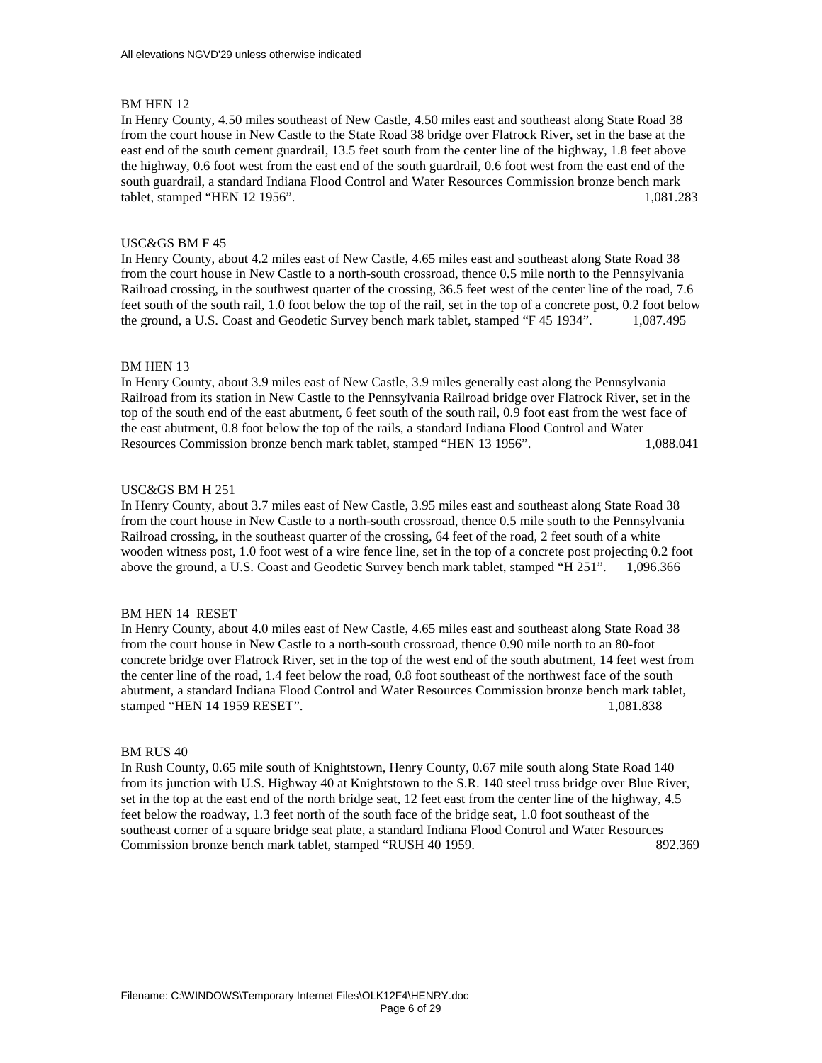In Henry County, 4.50 miles southeast of New Castle, 4.50 miles east and southeast along State Road 38 from the court house in New Castle to the State Road 38 bridge over Flatrock River, set in the base at the east end of the south cement guardrail, 13.5 feet south from the center line of the highway, 1.8 feet above the highway, 0.6 foot west from the east end of the south guardrail, 0.6 foot west from the east end of the south guardrail, a standard Indiana Flood Control and Water Resources Commission bronze bench mark tablet, stamped "HEN 12 1956". 1,081.283

# USC&GS BM F 45

In Henry County, about 4.2 miles east of New Castle, 4.65 miles east and southeast along State Road 38 from the court house in New Castle to a north-south crossroad, thence 0.5 mile north to the Pennsylvania Railroad crossing, in the southwest quarter of the crossing, 36.5 feet west of the center line of the road, 7.6 feet south of the south rail, 1.0 foot below the top of the rail, set in the top of a concrete post, 0.2 foot below the ground, a U.S. Coast and Geodetic Survey bench mark tablet, stamped "F 45 1934". 1,087.495

## BM HEN 13

In Henry County, about 3.9 miles east of New Castle, 3.9 miles generally east along the Pennsylvania Railroad from its station in New Castle to the Pennsylvania Railroad bridge over Flatrock River, set in the top of the south end of the east abutment, 6 feet south of the south rail, 0.9 foot east from the west face of the east abutment, 0.8 foot below the top of the rails, a standard Indiana Flood Control and Water Resources Commission bronze bench mark tablet, stamped "HEN 13 1956". 1,088.041

# USC&GS BM H 251

In Henry County, about 3.7 miles east of New Castle, 3.95 miles east and southeast along State Road 38 from the court house in New Castle to a north-south crossroad, thence 0.5 mile south to the Pennsylvania Railroad crossing, in the southeast quarter of the crossing, 64 feet of the road, 2 feet south of a white wooden witness post, 1.0 foot west of a wire fence line, set in the top of a concrete post projecting 0.2 foot above the ground, a U.S. Coast and Geodetic Survey bench mark tablet, stamped "H 251". 1,096.366

## BM HEN 14 RESET

In Henry County, about 4.0 miles east of New Castle, 4.65 miles east and southeast along State Road 38 from the court house in New Castle to a north-south crossroad, thence 0.90 mile north to an 80-foot concrete bridge over Flatrock River, set in the top of the west end of the south abutment, 14 feet west from the center line of the road, 1.4 feet below the road, 0.8 foot southeast of the northwest face of the south abutment, a standard Indiana Flood Control and Water Resources Commission bronze bench mark tablet, stamped "HEN 14 1959 RESET". 1,081.838

## BM RUS 40

In Rush County, 0.65 mile south of Knightstown, Henry County, 0.67 mile south along State Road 140 from its junction with U.S. Highway 40 at Knightstown to the S.R. 140 steel truss bridge over Blue River, set in the top at the east end of the north bridge seat, 12 feet east from the center line of the highway, 4.5 feet below the roadway, 1.3 feet north of the south face of the bridge seat, 1.0 foot southeast of the southeast corner of a square bridge seat plate, a standard Indiana Flood Control and Water Resources Commission bronze bench mark tablet, stamped "RUSH 40 1959.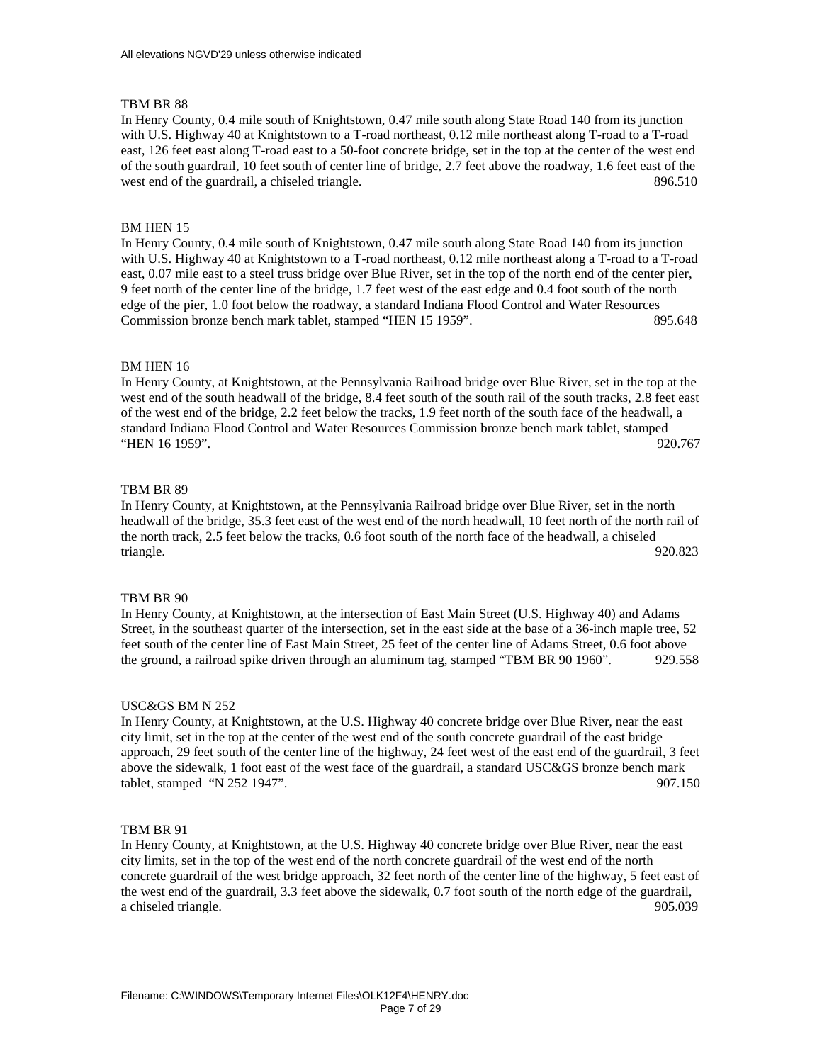In Henry County, 0.4 mile south of Knightstown, 0.47 mile south along State Road 140 from its junction with U.S. Highway 40 at Knightstown to a T-road northeast, 0.12 mile northeast along T-road to a T-road east, 126 feet east along T-road east to a 50-foot concrete bridge, set in the top at the center of the west end of the south guardrail, 10 feet south of center line of bridge, 2.7 feet above the roadway, 1.6 feet east of the west end of the guardrail, a chiseled triangle. 896.510

## BM HEN 15

In Henry County, 0.4 mile south of Knightstown, 0.47 mile south along State Road 140 from its junction with U.S. Highway 40 at Knightstown to a T-road northeast, 0.12 mile northeast along a T-road to a T-road east, 0.07 mile east to a steel truss bridge over Blue River, set in the top of the north end of the center pier, 9 feet north of the center line of the bridge, 1.7 feet west of the east edge and 0.4 foot south of the north edge of the pier, 1.0 foot below the roadway, a standard Indiana Flood Control and Water Resources Commission bronze bench mark tablet, stamped "HEN 15 1959". 895.648

#### BM HEN 16

In Henry County, at Knightstown, at the Pennsylvania Railroad bridge over Blue River, set in the top at the west end of the south headwall of the bridge, 8.4 feet south of the south rail of the south tracks, 2.8 feet east of the west end of the bridge, 2.2 feet below the tracks, 1.9 feet north of the south face of the headwall, a standard Indiana Flood Control and Water Resources Commission bronze bench mark tablet, stamped "HEN 16 1959". 920.767

# TBM BR 89

In Henry County, at Knightstown, at the Pennsylvania Railroad bridge over Blue River, set in the north headwall of the bridge, 35.3 feet east of the west end of the north headwall, 10 feet north of the north rail of the north track, 2.5 feet below the tracks, 0.6 foot south of the north face of the headwall, a chiseled triangle. 920.823

### TBM BR 90

In Henry County, at Knightstown, at the intersection of East Main Street (U.S. Highway 40) and Adams Street, in the southeast quarter of the intersection, set in the east side at the base of a 36-inch maple tree, 52 feet south of the center line of East Main Street, 25 feet of the center line of Adams Street, 0.6 foot above the ground, a railroad spike driven through an aluminum tag, stamped "TBM BR 90 1960". 929.558

#### USC&GS BM N 252

In Henry County, at Knightstown, at the U.S. Highway 40 concrete bridge over Blue River, near the east city limit, set in the top at the center of the west end of the south concrete guardrail of the east bridge approach, 29 feet south of the center line of the highway, 24 feet west of the east end of the guardrail, 3 feet above the sidewalk, 1 foot east of the west face of the guardrail, a standard USC&GS bronze bench mark tablet, stamped "N 252 1947". 907.150

#### TBM BR 91

In Henry County, at Knightstown, at the U.S. Highway 40 concrete bridge over Blue River, near the east city limits, set in the top of the west end of the north concrete guardrail of the west end of the north concrete guardrail of the west bridge approach, 32 feet north of the center line of the highway, 5 feet east of the west end of the guardrail, 3.3 feet above the sidewalk, 0.7 foot south of the north edge of the guardrail, a chiseled triangle. 905.039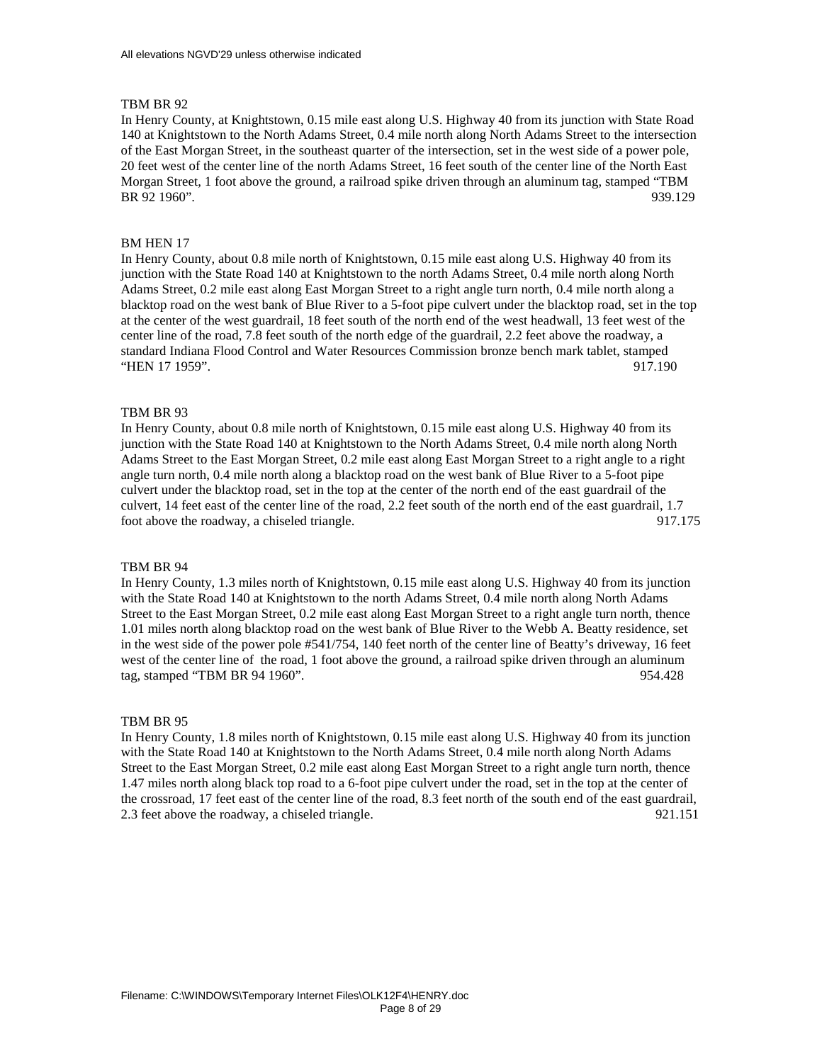In Henry County, at Knightstown, 0.15 mile east along U.S. Highway 40 from its junction with State Road 140 at Knightstown to the North Adams Street, 0.4 mile north along North Adams Street to the intersection of the East Morgan Street, in the southeast quarter of the intersection, set in the west side of a power pole, 20 feet west of the center line of the north Adams Street, 16 feet south of the center line of the North East Morgan Street, 1 foot above the ground, a railroad spike driven through an aluminum tag, stamped "TBM BR 92 1960". 939.129

# BM HEN 17

In Henry County, about 0.8 mile north of Knightstown, 0.15 mile east along U.S. Highway 40 from its junction with the State Road 140 at Knightstown to the north Adams Street, 0.4 mile north along North Adams Street, 0.2 mile east along East Morgan Street to a right angle turn north, 0.4 mile north along a blacktop road on the west bank of Blue River to a 5-foot pipe culvert under the blacktop road, set in the top at the center of the west guardrail, 18 feet south of the north end of the west headwall, 13 feet west of the center line of the road, 7.8 feet south of the north edge of the guardrail, 2.2 feet above the roadway, a standard Indiana Flood Control and Water Resources Commission bronze bench mark tablet, stamped "HEN 17 1959". 917.190

## TBM BR 93

In Henry County, about 0.8 mile north of Knightstown, 0.15 mile east along U.S. Highway 40 from its junction with the State Road 140 at Knightstown to the North Adams Street, 0.4 mile north along North Adams Street to the East Morgan Street, 0.2 mile east along East Morgan Street to a right angle to a right angle turn north, 0.4 mile north along a blacktop road on the west bank of Blue River to a 5-foot pipe culvert under the blacktop road, set in the top at the center of the north end of the east guardrail of the culvert, 14 feet east of the center line of the road, 2.2 feet south of the north end of the east guardrail, 1.7 foot above the roadway, a chiseled triangle. 917.175

### TBM BR 94

In Henry County, 1.3 miles north of Knightstown, 0.15 mile east along U.S. Highway 40 from its junction with the State Road 140 at Knightstown to the north Adams Street, 0.4 mile north along North Adams Street to the East Morgan Street, 0.2 mile east along East Morgan Street to a right angle turn north, thence 1.01 miles north along blacktop road on the west bank of Blue River to the Webb A. Beatty residence, set in the west side of the power pole #541/754, 140 feet north of the center line of Beatty's driveway, 16 feet west of the center line of the road, 1 foot above the ground, a railroad spike driven through an aluminum tag, stamped "TBM BR 94 1960". 954.428

#### TBM BR 95

In Henry County, 1.8 miles north of Knightstown, 0.15 mile east along U.S. Highway 40 from its junction with the State Road 140 at Knightstown to the North Adams Street, 0.4 mile north along North Adams Street to the East Morgan Street, 0.2 mile east along East Morgan Street to a right angle turn north, thence 1.47 miles north along black top road to a 6-foot pipe culvert under the road, set in the top at the center of the crossroad, 17 feet east of the center line of the road, 8.3 feet north of the south end of the east guardrail, 2.3 feet above the roadway, a chiseled triangle. 921.151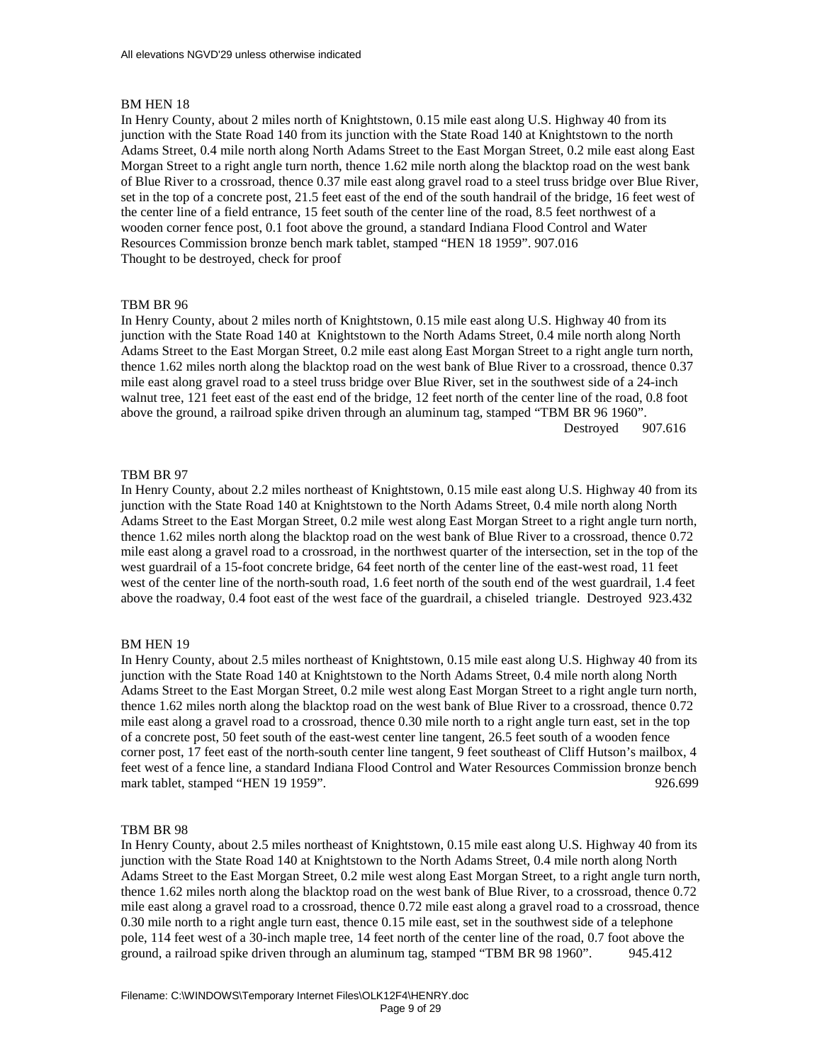In Henry County, about 2 miles north of Knightstown, 0.15 mile east along U.S. Highway 40 from its junction with the State Road 140 from its junction with the State Road 140 at Knightstown to the north Adams Street, 0.4 mile north along North Adams Street to the East Morgan Street, 0.2 mile east along East Morgan Street to a right angle turn north, thence 1.62 mile north along the blacktop road on the west bank of Blue River to a crossroad, thence 0.37 mile east along gravel road to a steel truss bridge over Blue River, set in the top of a concrete post, 21.5 feet east of the end of the south handrail of the bridge, 16 feet west of the center line of a field entrance, 15 feet south of the center line of the road, 8.5 feet northwest of a wooden corner fence post, 0.1 foot above the ground, a standard Indiana Flood Control and Water Resources Commission bronze bench mark tablet, stamped "HEN 18 1959". 907.016 Thought to be destroyed, check for proof

### TBM BR 96

In Henry County, about 2 miles north of Knightstown, 0.15 mile east along U.S. Highway 40 from its junction with the State Road 140 at Knightstown to the North Adams Street, 0.4 mile north along North Adams Street to the East Morgan Street, 0.2 mile east along East Morgan Street to a right angle turn north, thence 1.62 miles north along the blacktop road on the west bank of Blue River to a crossroad, thence 0.37 mile east along gravel road to a steel truss bridge over Blue River, set in the southwest side of a 24-inch walnut tree, 121 feet east of the east end of the bridge, 12 feet north of the center line of the road, 0.8 foot above the ground, a railroad spike driven through an aluminum tag, stamped "TBM BR 96 1960". Destroyed 907.616

### TBM BR 97

In Henry County, about 2.2 miles northeast of Knightstown, 0.15 mile east along U.S. Highway 40 from its junction with the State Road 140 at Knightstown to the North Adams Street, 0.4 mile north along North Adams Street to the East Morgan Street, 0.2 mile west along East Morgan Street to a right angle turn north, thence 1.62 miles north along the blacktop road on the west bank of Blue River to a crossroad, thence 0.72 mile east along a gravel road to a crossroad, in the northwest quarter of the intersection, set in the top of the west guardrail of a 15-foot concrete bridge, 64 feet north of the center line of the east-west road, 11 feet west of the center line of the north-south road, 1.6 feet north of the south end of the west guardrail, 1.4 feet above the roadway, 0.4 foot east of the west face of the guardrail, a chiseled triangle. Destroyed 923.432

#### BM HEN 19

In Henry County, about 2.5 miles northeast of Knightstown, 0.15 mile east along U.S. Highway 40 from its junction with the State Road 140 at Knightstown to the North Adams Street, 0.4 mile north along North Adams Street to the East Morgan Street, 0.2 mile west along East Morgan Street to a right angle turn north, thence 1.62 miles north along the blacktop road on the west bank of Blue River to a crossroad, thence 0.72 mile east along a gravel road to a crossroad, thence 0.30 mile north to a right angle turn east, set in the top of a concrete post, 50 feet south of the east-west center line tangent, 26.5 feet south of a wooden fence corner post, 17 feet east of the north-south center line tangent, 9 feet southeast of Cliff Hutson's mailbox, 4 feet west of a fence line, a standard Indiana Flood Control and Water Resources Commission bronze bench mark tablet, stamped "HEN 19 1959". 926.699

### TBM BR 98

In Henry County, about 2.5 miles northeast of Knightstown, 0.15 mile east along U.S. Highway 40 from its junction with the State Road 140 at Knightstown to the North Adams Street, 0.4 mile north along North Adams Street to the East Morgan Street, 0.2 mile west along East Morgan Street, to a right angle turn north, thence 1.62 miles north along the blacktop road on the west bank of Blue River, to a crossroad, thence 0.72 mile east along a gravel road to a crossroad, thence 0.72 mile east along a gravel road to a crossroad, thence 0.30 mile north to a right angle turn east, thence 0.15 mile east, set in the southwest side of a telephone pole, 114 feet west of a 30-inch maple tree, 14 feet north of the center line of the road, 0.7 foot above the ground, a railroad spike driven through an aluminum tag, stamped "TBM BR 98 1960". 945.412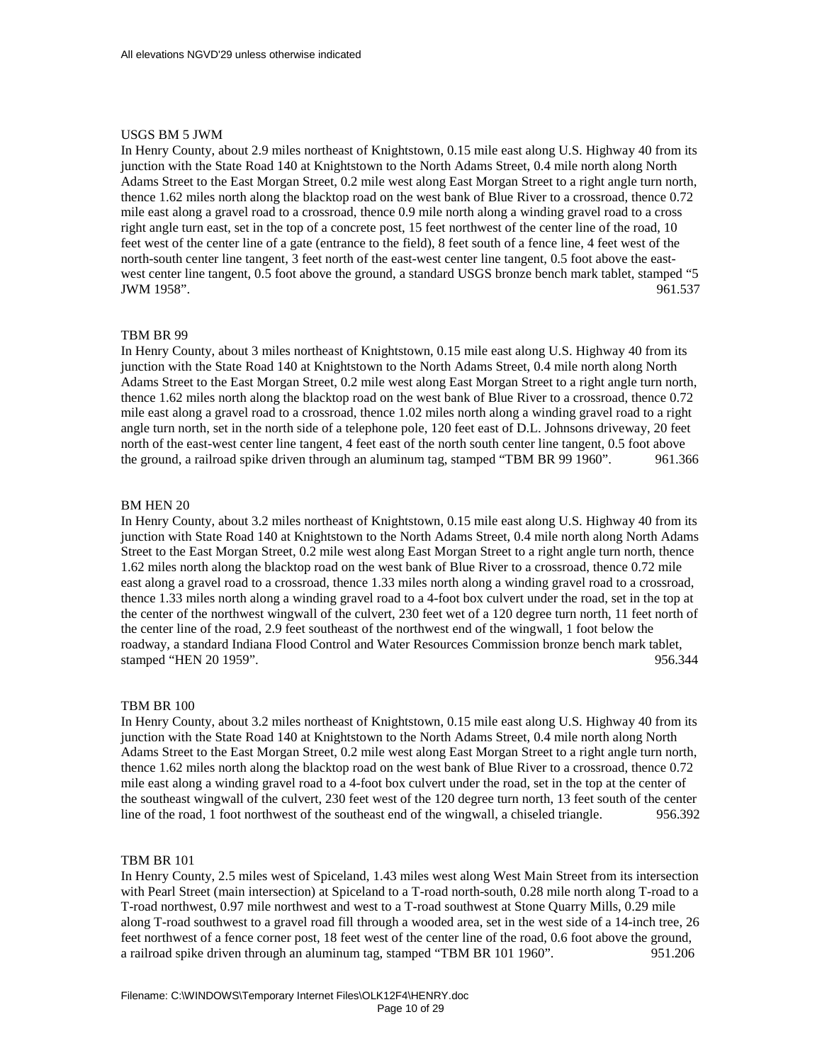### USGS BM 5 JWM

In Henry County, about 2.9 miles northeast of Knightstown, 0.15 mile east along U.S. Highway 40 from its junction with the State Road 140 at Knightstown to the North Adams Street, 0.4 mile north along North Adams Street to the East Morgan Street, 0.2 mile west along East Morgan Street to a right angle turn north, thence 1.62 miles north along the blacktop road on the west bank of Blue River to a crossroad, thence 0.72 mile east along a gravel road to a crossroad, thence 0.9 mile north along a winding gravel road to a cross right angle turn east, set in the top of a concrete post, 15 feet northwest of the center line of the road, 10 feet west of the center line of a gate (entrance to the field), 8 feet south of a fence line, 4 feet west of the north-south center line tangent, 3 feet north of the east-west center line tangent, 0.5 foot above the eastwest center line tangent, 0.5 foot above the ground, a standard USGS bronze bench mark tablet, stamped "5 JWM 1958". 961.537

### TBM BR 99

In Henry County, about 3 miles northeast of Knightstown, 0.15 mile east along U.S. Highway 40 from its junction with the State Road 140 at Knightstown to the North Adams Street, 0.4 mile north along North Adams Street to the East Morgan Street, 0.2 mile west along East Morgan Street to a right angle turn north, thence 1.62 miles north along the blacktop road on the west bank of Blue River to a crossroad, thence 0.72 mile east along a gravel road to a crossroad, thence 1.02 miles north along a winding gravel road to a right angle turn north, set in the north side of a telephone pole, 120 feet east of D.L. Johnsons driveway, 20 feet north of the east-west center line tangent, 4 feet east of the north south center line tangent, 0.5 foot above the ground, a railroad spike driven through an aluminum tag, stamped "TBM BR 99 1960". 961.366

#### BM HEN 20

In Henry County, about 3.2 miles northeast of Knightstown, 0.15 mile east along U.S. Highway 40 from its junction with State Road 140 at Knightstown to the North Adams Street, 0.4 mile north along North Adams Street to the East Morgan Street, 0.2 mile west along East Morgan Street to a right angle turn north, thence 1.62 miles north along the blacktop road on the west bank of Blue River to a crossroad, thence 0.72 mile east along a gravel road to a crossroad, thence 1.33 miles north along a winding gravel road to a crossroad, thence 1.33 miles north along a winding gravel road to a 4-foot box culvert under the road, set in the top at the center of the northwest wingwall of the culvert, 230 feet wet of a 120 degree turn north, 11 feet north of the center line of the road, 2.9 feet southeast of the northwest end of the wingwall, 1 foot below the roadway, a standard Indiana Flood Control and Water Resources Commission bronze bench mark tablet, stamped "HEN 20 1959". 956.344

#### TBM BR 100

In Henry County, about 3.2 miles northeast of Knightstown, 0.15 mile east along U.S. Highway 40 from its junction with the State Road 140 at Knightstown to the North Adams Street, 0.4 mile north along North Adams Street to the East Morgan Street, 0.2 mile west along East Morgan Street to a right angle turn north, thence 1.62 miles north along the blacktop road on the west bank of Blue River to a crossroad, thence 0.72 mile east along a winding gravel road to a 4-foot box culvert under the road, set in the top at the center of the southeast wingwall of the culvert, 230 feet west of the 120 degree turn north, 13 feet south of the center line of the road, 1 foot northwest of the southeast end of the wingwall, a chiseled triangle. 956.392

### TBM BR 101

In Henry County, 2.5 miles west of Spiceland, 1.43 miles west along West Main Street from its intersection with Pearl Street (main intersection) at Spiceland to a T-road north-south, 0.28 mile north along T-road to a T-road northwest, 0.97 mile northwest and west to a T-road southwest at Stone Quarry Mills, 0.29 mile along T-road southwest to a gravel road fill through a wooded area, set in the west side of a 14-inch tree, 26 feet northwest of a fence corner post, 18 feet west of the center line of the road, 0.6 foot above the ground, a railroad spike driven through an aluminum tag, stamped "TBM BR 101 1960". 951.206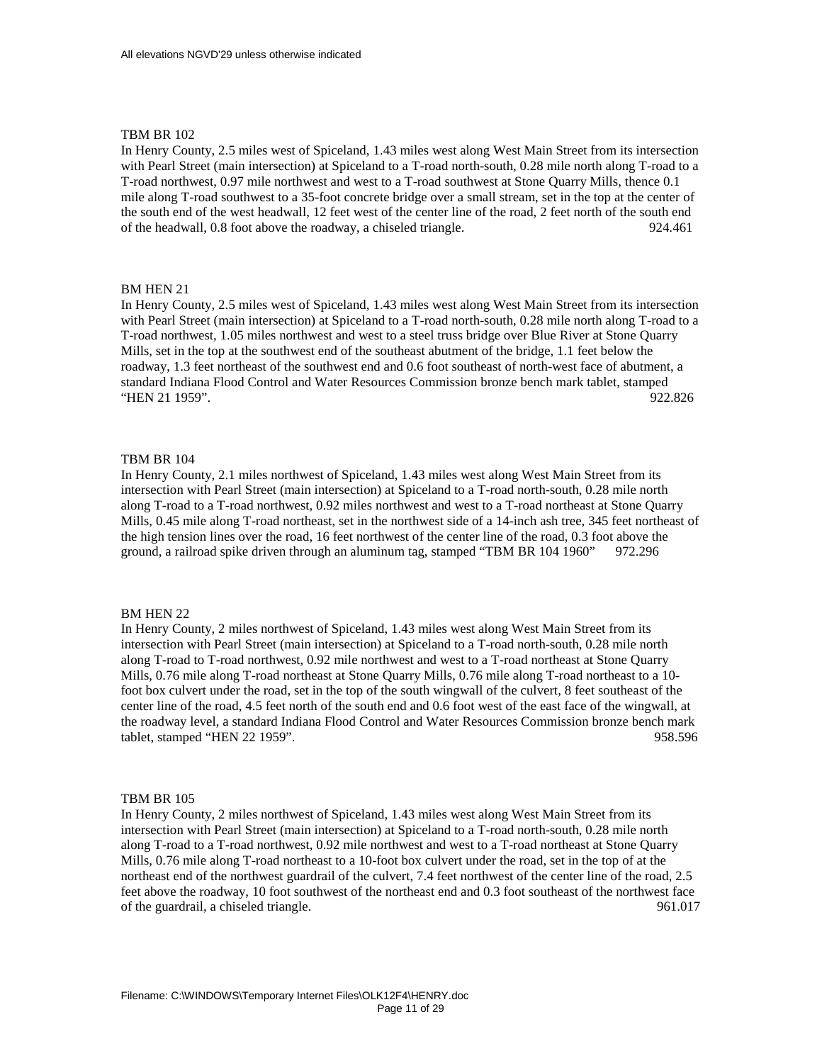In Henry County, 2.5 miles west of Spiceland, 1.43 miles west along West Main Street from its intersection with Pearl Street (main intersection) at Spiceland to a T-road north-south, 0.28 mile north along T-road to a T-road northwest, 0.97 mile northwest and west to a T-road southwest at Stone Quarry Mills, thence 0.1 mile along T-road southwest to a 35-foot concrete bridge over a small stream, set in the top at the center of the south end of the west headwall, 12 feet west of the center line of the road, 2 feet north of the south end of the headwall, 0.8 foot above the roadway, a chiseled triangle. 924.461

### BM HEN 21

In Henry County, 2.5 miles west of Spiceland, 1.43 miles west along West Main Street from its intersection with Pearl Street (main intersection) at Spiceland to a T-road north-south, 0.28 mile north along T-road to a T-road northwest, 1.05 miles northwest and west to a steel truss bridge over Blue River at Stone Quarry Mills, set in the top at the southwest end of the southeast abutment of the bridge, 1.1 feet below the roadway, 1.3 feet northeast of the southwest end and 0.6 foot southeast of north-west face of abutment, a standard Indiana Flood Control and Water Resources Commission bronze bench mark tablet, stamped "HEN 21 1959". 922.826

### TBM BR 104

In Henry County, 2.1 miles northwest of Spiceland, 1.43 miles west along West Main Street from its intersection with Pearl Street (main intersection) at Spiceland to a T-road north-south, 0.28 mile north along T-road to a T-road northwest, 0.92 miles northwest and west to a T-road northeast at Stone Quarry Mills, 0.45 mile along T-road northeast, set in the northwest side of a 14-inch ash tree, 345 feet northeast of the high tension lines over the road, 16 feet northwest of the center line of the road, 0.3 foot above the ground, a railroad spike driven through an aluminum tag, stamped "TBM BR 104 1960" 972.296

### BM HEN 22

In Henry County, 2 miles northwest of Spiceland, 1.43 miles west along West Main Street from its intersection with Pearl Street (main intersection) at Spiceland to a T-road north-south, 0.28 mile north along T-road to T-road northwest, 0.92 mile northwest and west to a T-road northeast at Stone Quarry Mills, 0.76 mile along T-road northeast at Stone Quarry Mills, 0.76 mile along T-road northeast to a 10 foot box culvert under the road, set in the top of the south wingwall of the culvert, 8 feet southeast of the center line of the road, 4.5 feet north of the south end and 0.6 foot west of the east face of the wingwall, at the roadway level, a standard Indiana Flood Control and Water Resources Commission bronze bench mark tablet, stamped "HEN 22 1959". 958.596

#### TBM BR 105

In Henry County, 2 miles northwest of Spiceland, 1.43 miles west along West Main Street from its intersection with Pearl Street (main intersection) at Spiceland to a T-road north-south, 0.28 mile north along T-road to a T-road northwest, 0.92 mile northwest and west to a T-road northeast at Stone Quarry Mills, 0.76 mile along T-road northeast to a 10-foot box culvert under the road, set in the top of at the northeast end of the northwest guardrail of the culvert, 7.4 feet northwest of the center line of the road, 2.5 feet above the roadway, 10 foot southwest of the northeast end and 0.3 foot southeast of the northwest face of the guardrail, a chiseled triangle. 961.017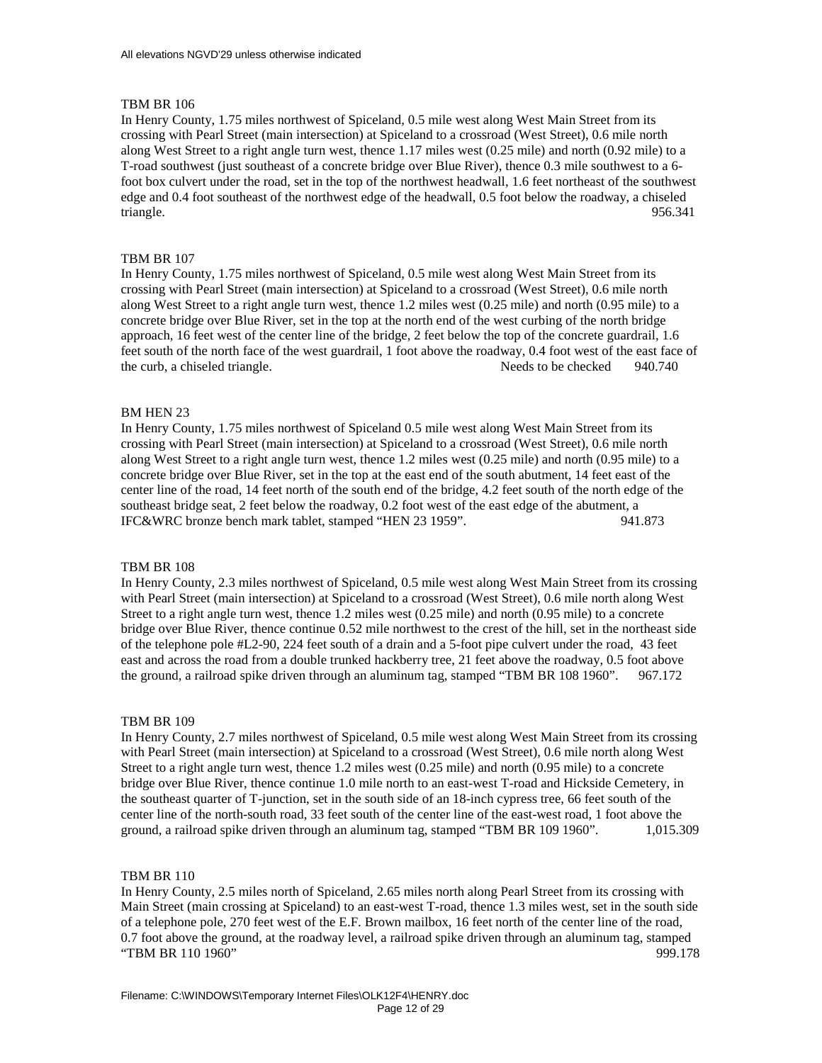In Henry County, 1.75 miles northwest of Spiceland, 0.5 mile west along West Main Street from its crossing with Pearl Street (main intersection) at Spiceland to a crossroad (West Street), 0.6 mile north along West Street to a right angle turn west, thence 1.17 miles west (0.25 mile) and north (0.92 mile) to a T-road southwest (just southeast of a concrete bridge over Blue River), thence 0.3 mile southwest to a 6 foot box culvert under the road, set in the top of the northwest headwall, 1.6 feet northeast of the southwest edge and 0.4 foot southeast of the northwest edge of the headwall, 0.5 foot below the roadway, a chiseled triangle. 956.341

### TBM BR 107

In Henry County, 1.75 miles northwest of Spiceland, 0.5 mile west along West Main Street from its crossing with Pearl Street (main intersection) at Spiceland to a crossroad (West Street), 0.6 mile north along West Street to a right angle turn west, thence 1.2 miles west (0.25 mile) and north (0.95 mile) to a concrete bridge over Blue River, set in the top at the north end of the west curbing of the north bridge approach, 16 feet west of the center line of the bridge, 2 feet below the top of the concrete guardrail, 1.6 feet south of the north face of the west guardrail, 1 foot above the roadway, 0.4 foot west of the east face of the curb, a chiseled triangle. Needs to be checked 940.740

#### BM HEN 23

In Henry County, 1.75 miles northwest of Spiceland 0.5 mile west along West Main Street from its crossing with Pearl Street (main intersection) at Spiceland to a crossroad (West Street), 0.6 mile north along West Street to a right angle turn west, thence 1.2 miles west (0.25 mile) and north (0.95 mile) to a concrete bridge over Blue River, set in the top at the east end of the south abutment, 14 feet east of the center line of the road, 14 feet north of the south end of the bridge, 4.2 feet south of the north edge of the southeast bridge seat, 2 feet below the roadway, 0.2 foot west of the east edge of the abutment, a IFC&WRC bronze bench mark tablet, stamped "HEN 23 1959". 941.873

#### TBM BR 108

In Henry County, 2.3 miles northwest of Spiceland, 0.5 mile west along West Main Street from its crossing with Pearl Street (main intersection) at Spiceland to a crossroad (West Street), 0.6 mile north along West Street to a right angle turn west, thence 1.2 miles west (0.25 mile) and north (0.95 mile) to a concrete bridge over Blue River, thence continue 0.52 mile northwest to the crest of the hill, set in the northeast side of the telephone pole #L2-90, 224 feet south of a drain and a 5-foot pipe culvert under the road, 43 feet east and across the road from a double trunked hackberry tree, 21 feet above the roadway, 0.5 foot above the ground, a railroad spike driven through an aluminum tag, stamped "TBM BR 108 1960". 967.172

#### TBM BR 109

In Henry County, 2.7 miles northwest of Spiceland, 0.5 mile west along West Main Street from its crossing with Pearl Street (main intersection) at Spiceland to a crossroad (West Street), 0.6 mile north along West Street to a right angle turn west, thence 1.2 miles west (0.25 mile) and north (0.95 mile) to a concrete bridge over Blue River, thence continue 1.0 mile north to an east-west T-road and Hickside Cemetery, in the southeast quarter of T-junction, set in the south side of an 18-inch cypress tree, 66 feet south of the center line of the north-south road, 33 feet south of the center line of the east-west road, 1 foot above the ground, a railroad spike driven through an aluminum tag, stamped "TBM BR 109 1960". 1,015.309

#### TBM BR 110

In Henry County, 2.5 miles north of Spiceland, 2.65 miles north along Pearl Street from its crossing with Main Street (main crossing at Spiceland) to an east-west T-road, thence 1.3 miles west, set in the south side of a telephone pole, 270 feet west of the E.F. Brown mailbox, 16 feet north of the center line of the road, 0.7 foot above the ground, at the roadway level, a railroad spike driven through an aluminum tag, stamped "TBM BR 110 1960" 999.178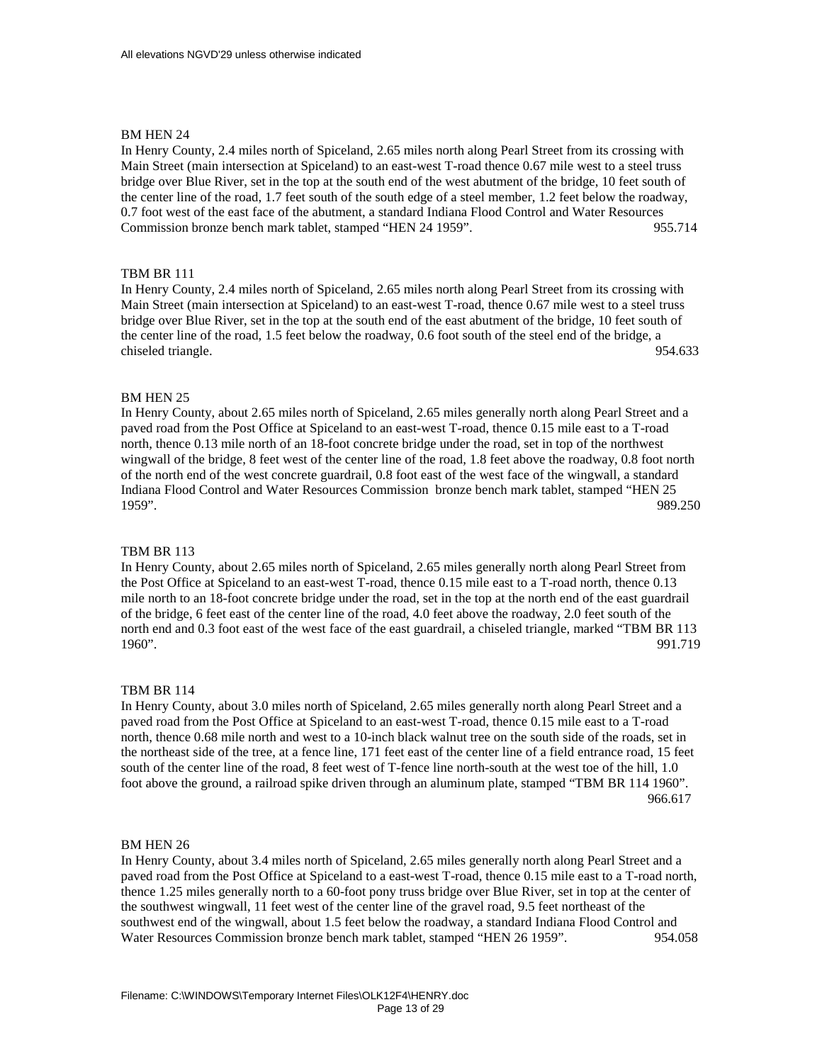In Henry County, 2.4 miles north of Spiceland, 2.65 miles north along Pearl Street from its crossing with Main Street (main intersection at Spiceland) to an east-west T-road thence 0.67 mile west to a steel truss bridge over Blue River, set in the top at the south end of the west abutment of the bridge, 10 feet south of the center line of the road, 1.7 feet south of the south edge of a steel member, 1.2 feet below the roadway, 0.7 foot west of the east face of the abutment, a standard Indiana Flood Control and Water Resources Commission bronze bench mark tablet, stamped "HEN 24 1959". 955.714

## TBM BR 111

In Henry County, 2.4 miles north of Spiceland, 2.65 miles north along Pearl Street from its crossing with Main Street (main intersection at Spiceland) to an east-west T-road, thence 0.67 mile west to a steel truss bridge over Blue River, set in the top at the south end of the east abutment of the bridge, 10 feet south of the center line of the road, 1.5 feet below the roadway, 0.6 foot south of the steel end of the bridge, a chiseled triangle. 954.633

## BM HEN 25

In Henry County, about 2.65 miles north of Spiceland, 2.65 miles generally north along Pearl Street and a paved road from the Post Office at Spiceland to an east-west T-road, thence 0.15 mile east to a T-road north, thence 0.13 mile north of an 18-foot concrete bridge under the road, set in top of the northwest wingwall of the bridge, 8 feet west of the center line of the road, 1.8 feet above the roadway, 0.8 foot north of the north end of the west concrete guardrail, 0.8 foot east of the west face of the wingwall, a standard Indiana Flood Control and Water Resources Commission bronze bench mark tablet, stamped "HEN 25 1959". 989.250

## TBM BR 113

In Henry County, about 2.65 miles north of Spiceland, 2.65 miles generally north along Pearl Street from the Post Office at Spiceland to an east-west T-road, thence 0.15 mile east to a T-road north, thence 0.13 mile north to an 18-foot concrete bridge under the road, set in the top at the north end of the east guardrail of the bridge, 6 feet east of the center line of the road, 4.0 feet above the roadway, 2.0 feet south of the north end and 0.3 foot east of the west face of the east guardrail, a chiseled triangle, marked "TBM BR 113 1960". 991.719

### TBM BR 114

In Henry County, about 3.0 miles north of Spiceland, 2.65 miles generally north along Pearl Street and a paved road from the Post Office at Spiceland to an east-west T-road, thence 0.15 mile east to a T-road north, thence 0.68 mile north and west to a 10-inch black walnut tree on the south side of the roads, set in the northeast side of the tree, at a fence line, 171 feet east of the center line of a field entrance road, 15 feet south of the center line of the road, 8 feet west of T-fence line north-south at the west toe of the hill, 1.0 foot above the ground, a railroad spike driven through an aluminum plate, stamped "TBM BR 114 1960". 966.617

#### BM HEN 26

In Henry County, about 3.4 miles north of Spiceland, 2.65 miles generally north along Pearl Street and a paved road from the Post Office at Spiceland to a east-west T-road, thence 0.15 mile east to a T-road north, thence 1.25 miles generally north to a 60-foot pony truss bridge over Blue River, set in top at the center of the southwest wingwall, 11 feet west of the center line of the gravel road, 9.5 feet northeast of the southwest end of the wingwall, about 1.5 feet below the roadway, a standard Indiana Flood Control and Water Resources Commission bronze bench mark tablet, stamped "HEN 26 1959". 954.058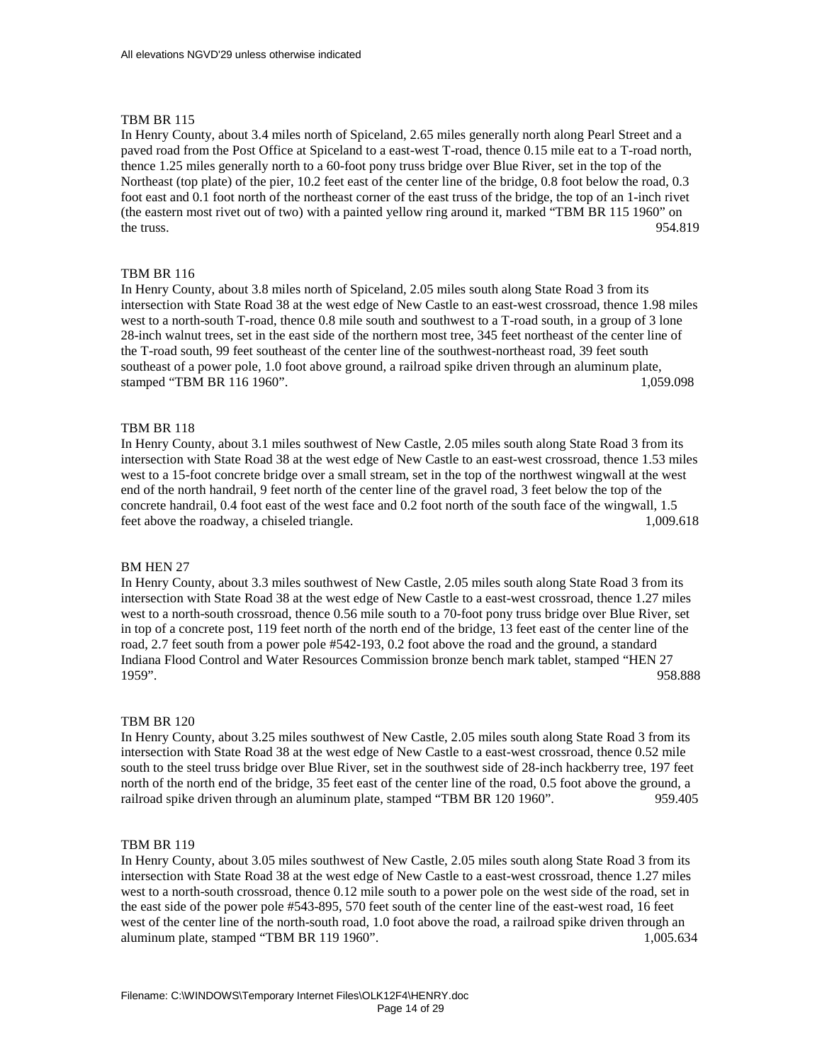In Henry County, about 3.4 miles north of Spiceland, 2.65 miles generally north along Pearl Street and a paved road from the Post Office at Spiceland to a east-west T-road, thence 0.15 mile eat to a T-road north, thence 1.25 miles generally north to a 60-foot pony truss bridge over Blue River, set in the top of the Northeast (top plate) of the pier, 10.2 feet east of the center line of the bridge, 0.8 foot below the road, 0.3 foot east and 0.1 foot north of the northeast corner of the east truss of the bridge, the top of an 1-inch rivet (the eastern most rivet out of two) with a painted yellow ring around it, marked "TBM BR 115 1960" on the truss.  $954.819$ 

# TBM BR 116

In Henry County, about 3.8 miles north of Spiceland, 2.05 miles south along State Road 3 from its intersection with State Road 38 at the west edge of New Castle to an east-west crossroad, thence 1.98 miles west to a north-south T-road, thence 0.8 mile south and southwest to a T-road south, in a group of 3 lone 28-inch walnut trees, set in the east side of the northern most tree, 345 feet northeast of the center line of the T-road south, 99 feet southeast of the center line of the southwest-northeast road, 39 feet south southeast of a power pole, 1.0 foot above ground, a railroad spike driven through an aluminum plate, stamped "TBM BR 116 1960". 1,059.098

## TBM BR 118

In Henry County, about 3.1 miles southwest of New Castle, 2.05 miles south along State Road 3 from its intersection with State Road 38 at the west edge of New Castle to an east-west crossroad, thence 1.53 miles west to a 15-foot concrete bridge over a small stream, set in the top of the northwest wingwall at the west end of the north handrail, 9 feet north of the center line of the gravel road, 3 feet below the top of the concrete handrail, 0.4 foot east of the west face and 0.2 foot north of the south face of the wingwall, 1.5 feet above the roadway, a chiseled triangle. 1,009.618

#### BM HEN 27

In Henry County, about 3.3 miles southwest of New Castle, 2.05 miles south along State Road 3 from its intersection with State Road 38 at the west edge of New Castle to a east-west crossroad, thence 1.27 miles west to a north-south crossroad, thence 0.56 mile south to a 70-foot pony truss bridge over Blue River, set in top of a concrete post, 119 feet north of the north end of the bridge, 13 feet east of the center line of the road, 2.7 feet south from a power pole #542-193, 0.2 foot above the road and the ground, a standard Indiana Flood Control and Water Resources Commission bronze bench mark tablet, stamped "HEN 27 1959". 958.888

#### TBM BR 120

In Henry County, about 3.25 miles southwest of New Castle, 2.05 miles south along State Road 3 from its intersection with State Road 38 at the west edge of New Castle to a east-west crossroad, thence 0.52 mile south to the steel truss bridge over Blue River, set in the southwest side of 28-inch hackberry tree, 197 feet north of the north end of the bridge, 35 feet east of the center line of the road, 0.5 foot above the ground, a railroad spike driven through an aluminum plate, stamped "TBM BR 120 1960". 959.405

### TBM BR 119

In Henry County, about 3.05 miles southwest of New Castle, 2.05 miles south along State Road 3 from its intersection with State Road 38 at the west edge of New Castle to a east-west crossroad, thence 1.27 miles west to a north-south crossroad, thence 0.12 mile south to a power pole on the west side of the road, set in the east side of the power pole #543-895, 570 feet south of the center line of the east-west road, 16 feet west of the center line of the north-south road, 1.0 foot above the road, a railroad spike driven through an aluminum plate, stamped "TBM BR 119 1960". 1,005.634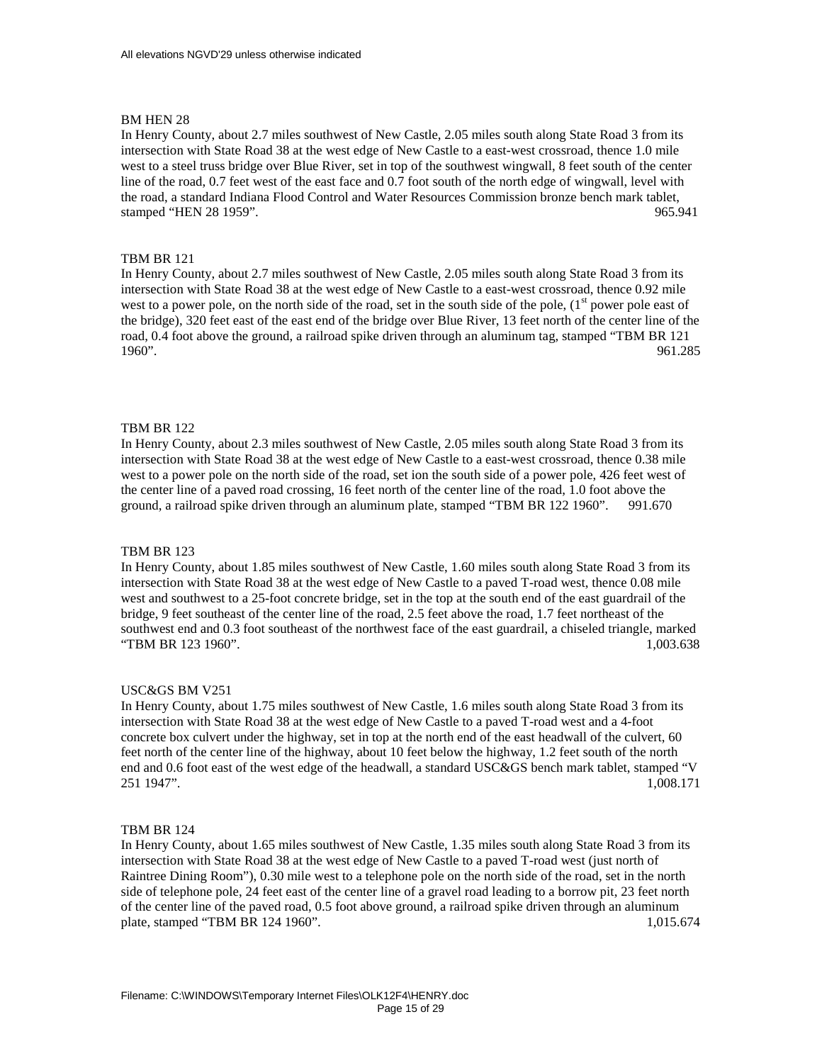In Henry County, about 2.7 miles southwest of New Castle, 2.05 miles south along State Road 3 from its intersection with State Road 38 at the west edge of New Castle to a east-west crossroad, thence 1.0 mile west to a steel truss bridge over Blue River, set in top of the southwest wingwall, 8 feet south of the center line of the road, 0.7 feet west of the east face and 0.7 foot south of the north edge of wingwall, level with the road, a standard Indiana Flood Control and Water Resources Commission bronze bench mark tablet, stamped "HEN 28 1959". 965.941

## TBM BR 121

In Henry County, about 2.7 miles southwest of New Castle, 2.05 miles south along State Road 3 from its intersection with State Road 38 at the west edge of New Castle to a east-west crossroad, thence 0.92 mile west to a power pole, on the north side of the road, set in the south side of the pole,  $(1<sup>st</sup>$  power pole east of the bridge), 320 feet east of the east end of the bridge over Blue River, 13 feet north of the center line of the road, 0.4 foot above the ground, a railroad spike driven through an aluminum tag, stamped "TBM BR 121 1960". 961.285

## TBM BR 122

In Henry County, about 2.3 miles southwest of New Castle, 2.05 miles south along State Road 3 from its intersection with State Road 38 at the west edge of New Castle to a east-west crossroad, thence 0.38 mile west to a power pole on the north side of the road, set ion the south side of a power pole, 426 feet west of the center line of a paved road crossing, 16 feet north of the center line of the road, 1.0 foot above the ground, a railroad spike driven through an aluminum plate, stamped "TBM BR 122 1960". 991.670

## TBM BR 123

In Henry County, about 1.85 miles southwest of New Castle, 1.60 miles south along State Road 3 from its intersection with State Road 38 at the west edge of New Castle to a paved T-road west, thence 0.08 mile west and southwest to a 25-foot concrete bridge, set in the top at the south end of the east guardrail of the bridge, 9 feet southeast of the center line of the road, 2.5 feet above the road, 1.7 feet northeast of the southwest end and 0.3 foot southeast of the northwest face of the east guardrail, a chiseled triangle, marked "TBM BR 123 1960". 1,003.638

### USC&GS BM V251

In Henry County, about 1.75 miles southwest of New Castle, 1.6 miles south along State Road 3 from its intersection with State Road 38 at the west edge of New Castle to a paved T-road west and a 4-foot concrete box culvert under the highway, set in top at the north end of the east headwall of the culvert, 60 feet north of the center line of the highway, about 10 feet below the highway, 1.2 feet south of the north end and 0.6 foot east of the west edge of the headwall, a standard USC&GS bench mark tablet, stamped "V 251 1947". 1,008.171

#### TBM BR 124

In Henry County, about 1.65 miles southwest of New Castle, 1.35 miles south along State Road 3 from its intersection with State Road 38 at the west edge of New Castle to a paved T-road west (just north of Raintree Dining Room"), 0.30 mile west to a telephone pole on the north side of the road, set in the north side of telephone pole, 24 feet east of the center line of a gravel road leading to a borrow pit, 23 feet north of the center line of the paved road, 0.5 foot above ground, a railroad spike driven through an aluminum plate, stamped "TBM BR 124 1960". 1,015.674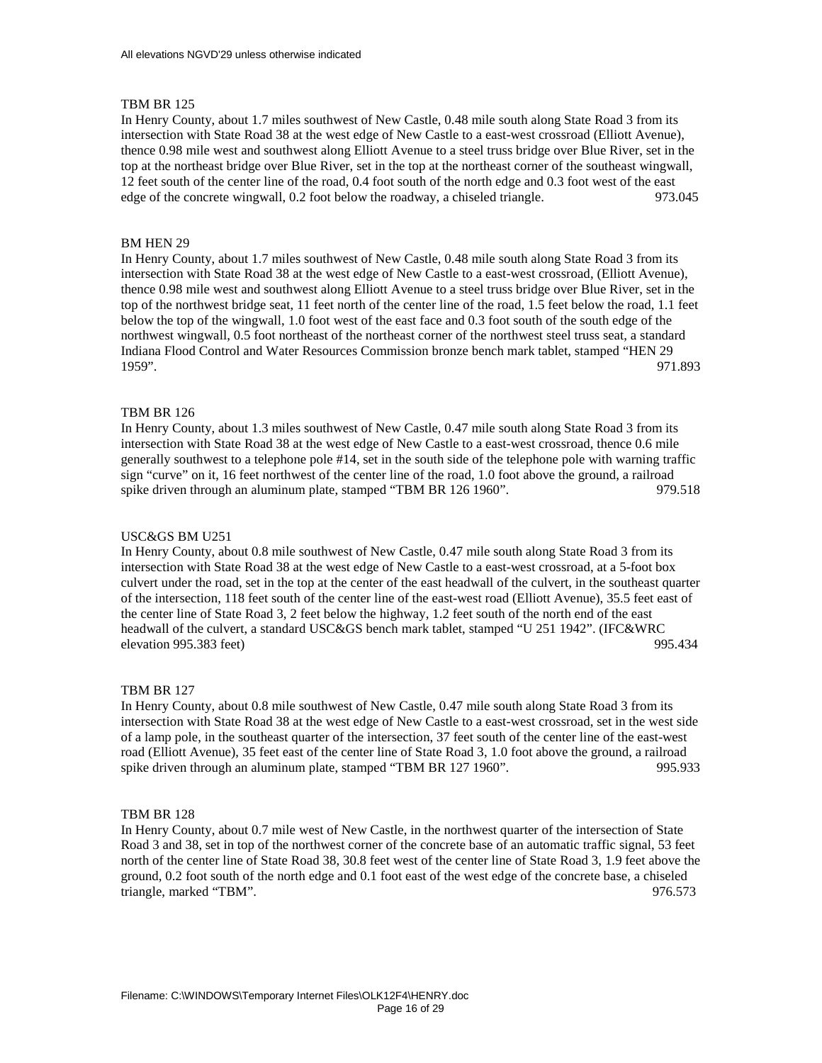In Henry County, about 1.7 miles southwest of New Castle, 0.48 mile south along State Road 3 from its intersection with State Road 38 at the west edge of New Castle to a east-west crossroad (Elliott Avenue), thence 0.98 mile west and southwest along Elliott Avenue to a steel truss bridge over Blue River, set in the top at the northeast bridge over Blue River, set in the top at the northeast corner of the southeast wingwall, 12 feet south of the center line of the road, 0.4 foot south of the north edge and 0.3 foot west of the east edge of the concrete wingwall, 0.2 foot below the roadway, a chiseled triangle. 973.045

# BM HEN 29

In Henry County, about 1.7 miles southwest of New Castle, 0.48 mile south along State Road 3 from its intersection with State Road 38 at the west edge of New Castle to a east-west crossroad, (Elliott Avenue), thence 0.98 mile west and southwest along Elliott Avenue to a steel truss bridge over Blue River, set in the top of the northwest bridge seat, 11 feet north of the center line of the road, 1.5 feet below the road, 1.1 feet below the top of the wingwall, 1.0 foot west of the east face and 0.3 foot south of the south edge of the northwest wingwall, 0.5 foot northeast of the northeast corner of the northwest steel truss seat, a standard Indiana Flood Control and Water Resources Commission bronze bench mark tablet, stamped "HEN 29 1959". 971.893

# TBM BR 126

In Henry County, about 1.3 miles southwest of New Castle, 0.47 mile south along State Road 3 from its intersection with State Road 38 at the west edge of New Castle to a east-west crossroad, thence 0.6 mile generally southwest to a telephone pole #14, set in the south side of the telephone pole with warning traffic sign "curve" on it, 16 feet northwest of the center line of the road, 1.0 foot above the ground, a railroad spike driven through an aluminum plate, stamped "TBM BR 126 1960". 979.518

## USC&GS BM U251

In Henry County, about 0.8 mile southwest of New Castle, 0.47 mile south along State Road 3 from its intersection with State Road 38 at the west edge of New Castle to a east-west crossroad, at a 5-foot box culvert under the road, set in the top at the center of the east headwall of the culvert, in the southeast quarter of the intersection, 118 feet south of the center line of the east-west road (Elliott Avenue), 35.5 feet east of the center line of State Road 3, 2 feet below the highway, 1.2 feet south of the north end of the east headwall of the culvert, a standard USC&GS bench mark tablet, stamped "U 251 1942". (IFC&WRC elevation 995.383 feet) 995.434

## TBM BR 127

In Henry County, about 0.8 mile southwest of New Castle, 0.47 mile south along State Road 3 from its intersection with State Road 38 at the west edge of New Castle to a east-west crossroad, set in the west side of a lamp pole, in the southeast quarter of the intersection, 37 feet south of the center line of the east-west road (Elliott Avenue), 35 feet east of the center line of State Road 3, 1.0 foot above the ground, a railroad spike driven through an aluminum plate, stamped "TBM BR 127 1960". 995.933

## TBM BR 128

In Henry County, about 0.7 mile west of New Castle, in the northwest quarter of the intersection of State Road 3 and 38, set in top of the northwest corner of the concrete base of an automatic traffic signal, 53 feet north of the center line of State Road 38, 30.8 feet west of the center line of State Road 3, 1.9 feet above the ground, 0.2 foot south of the north edge and 0.1 foot east of the west edge of the concrete base, a chiseled triangle, marked "TBM". 976.573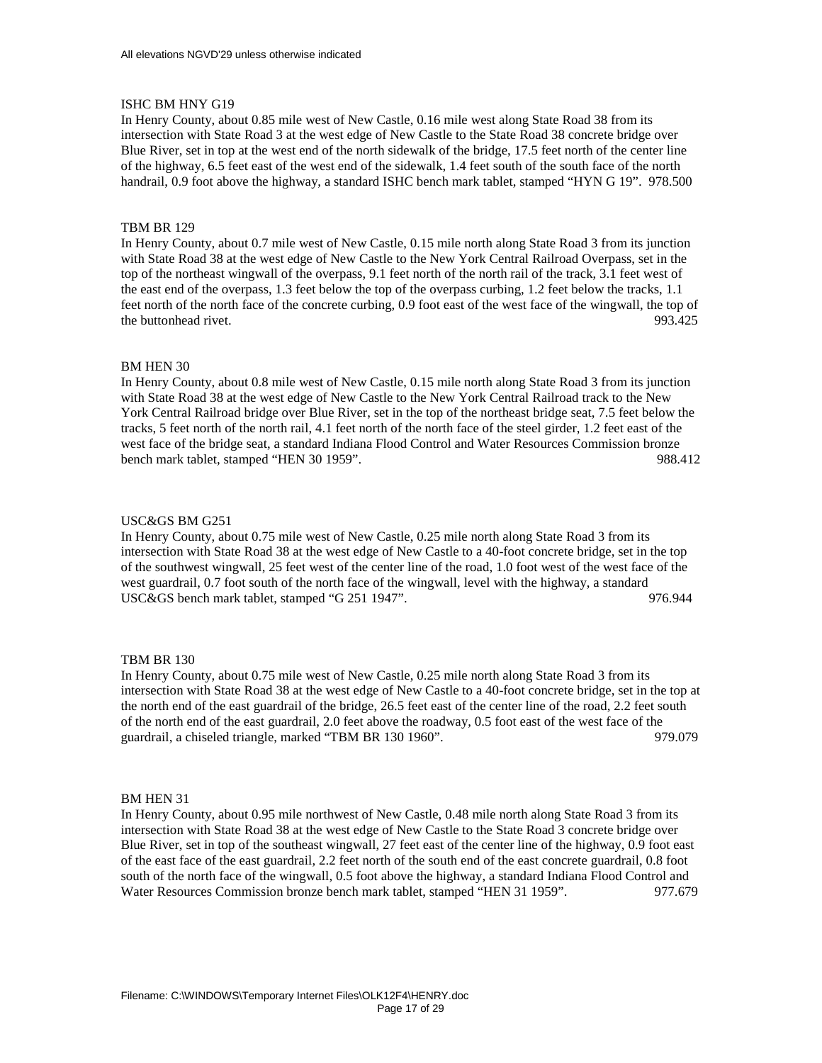# ISHC BM HNY G19

In Henry County, about 0.85 mile west of New Castle, 0.16 mile west along State Road 38 from its intersection with State Road 3 at the west edge of New Castle to the State Road 38 concrete bridge over Blue River, set in top at the west end of the north sidewalk of the bridge, 17.5 feet north of the center line of the highway, 6.5 feet east of the west end of the sidewalk, 1.4 feet south of the south face of the north handrail, 0.9 foot above the highway, a standard ISHC bench mark tablet, stamped "HYN G 19". 978.500

# TBM BR 129

In Henry County, about 0.7 mile west of New Castle, 0.15 mile north along State Road 3 from its junction with State Road 38 at the west edge of New Castle to the New York Central Railroad Overpass, set in the top of the northeast wingwall of the overpass, 9.1 feet north of the north rail of the track, 3.1 feet west of the east end of the overpass, 1.3 feet below the top of the overpass curbing, 1.2 feet below the tracks, 1.1 feet north of the north face of the concrete curbing, 0.9 foot east of the west face of the wingwall, the top of the buttonhead rivet. 993.425

# BM HEN 30

In Henry County, about 0.8 mile west of New Castle, 0.15 mile north along State Road 3 from its junction with State Road 38 at the west edge of New Castle to the New York Central Railroad track to the New York Central Railroad bridge over Blue River, set in the top of the northeast bridge seat, 7.5 feet below the tracks, 5 feet north of the north rail, 4.1 feet north of the north face of the steel girder, 1.2 feet east of the west face of the bridge seat, a standard Indiana Flood Control and Water Resources Commission bronze bench mark tablet, stamped "HEN 30 1959". 988.412

## USC&GS BM G251

In Henry County, about 0.75 mile west of New Castle, 0.25 mile north along State Road 3 from its intersection with State Road 38 at the west edge of New Castle to a 40-foot concrete bridge, set in the top of the southwest wingwall, 25 feet west of the center line of the road, 1.0 foot west of the west face of the west guardrail, 0.7 foot south of the north face of the wingwall, level with the highway, a standard USC&GS bench mark tablet, stamped "G 251 1947". 976.944

## TBM BR 130

In Henry County, about 0.75 mile west of New Castle, 0.25 mile north along State Road 3 from its intersection with State Road 38 at the west edge of New Castle to a 40-foot concrete bridge, set in the top at the north end of the east guardrail of the bridge, 26.5 feet east of the center line of the road, 2.2 feet south of the north end of the east guardrail, 2.0 feet above the roadway, 0.5 foot east of the west face of the guardrail, a chiseled triangle, marked "TBM BR 130 1960". 979.079

## BM HEN 31

In Henry County, about 0.95 mile northwest of New Castle, 0.48 mile north along State Road 3 from its intersection with State Road 38 at the west edge of New Castle to the State Road 3 concrete bridge over Blue River, set in top of the southeast wingwall, 27 feet east of the center line of the highway, 0.9 foot east of the east face of the east guardrail, 2.2 feet north of the south end of the east concrete guardrail, 0.8 foot south of the north face of the wingwall, 0.5 foot above the highway, a standard Indiana Flood Control and Water Resources Commission bronze bench mark tablet, stamped "HEN 31 1959". 977.679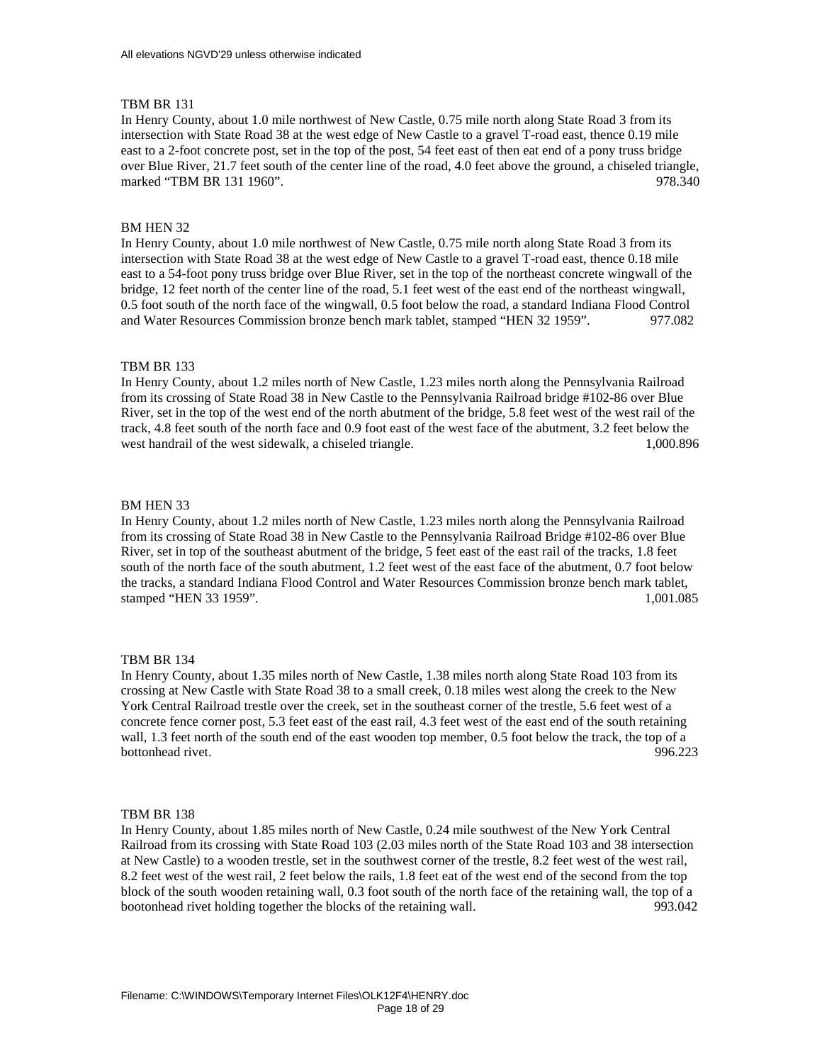In Henry County, about 1.0 mile northwest of New Castle, 0.75 mile north along State Road 3 from its intersection with State Road 38 at the west edge of New Castle to a gravel T-road east, thence 0.19 mile east to a 2-foot concrete post, set in the top of the post, 54 feet east of then eat end of a pony truss bridge over Blue River, 21.7 feet south of the center line of the road, 4.0 feet above the ground, a chiseled triangle, marked "TBM BR 131 1960". 978.340

## BM HEN 32

In Henry County, about 1.0 mile northwest of New Castle, 0.75 mile north along State Road 3 from its intersection with State Road 38 at the west edge of New Castle to a gravel T-road east, thence 0.18 mile east to a 54-foot pony truss bridge over Blue River, set in the top of the northeast concrete wingwall of the bridge, 12 feet north of the center line of the road, 5.1 feet west of the east end of the northeast wingwall, 0.5 foot south of the north face of the wingwall, 0.5 foot below the road, a standard Indiana Flood Control and Water Resources Commission bronze bench mark tablet, stamped "HEN 32 1959". 977.082

### TBM BR 133

In Henry County, about 1.2 miles north of New Castle, 1.23 miles north along the Pennsylvania Railroad from its crossing of State Road 38 in New Castle to the Pennsylvania Railroad bridge #102-86 over Blue River, set in the top of the west end of the north abutment of the bridge, 5.8 feet west of the west rail of the track, 4.8 feet south of the north face and 0.9 foot east of the west face of the abutment, 3.2 feet below the west handrail of the west sidewalk, a chiseled triangle. 1,000.896 and 1,000.896

#### BM HEN 33

In Henry County, about 1.2 miles north of New Castle, 1.23 miles north along the Pennsylvania Railroad from its crossing of State Road 38 in New Castle to the Pennsylvania Railroad Bridge #102-86 over Blue River, set in top of the southeast abutment of the bridge, 5 feet east of the east rail of the tracks, 1.8 feet south of the north face of the south abutment, 1.2 feet west of the east face of the abutment, 0.7 foot below the tracks, a standard Indiana Flood Control and Water Resources Commission bronze bench mark tablet, stamped "HEN 33 1959". 1,001.085

#### TBM BR 134

In Henry County, about 1.35 miles north of New Castle, 1.38 miles north along State Road 103 from its crossing at New Castle with State Road 38 to a small creek, 0.18 miles west along the creek to the New York Central Railroad trestle over the creek, set in the southeast corner of the trestle, 5.6 feet west of a concrete fence corner post, 5.3 feet east of the east rail, 4.3 feet west of the east end of the south retaining wall, 1.3 feet north of the south end of the east wooden top member, 0.5 foot below the track, the top of a bottonhead rivet. 996.223

### TBM BR 138

In Henry County, about 1.85 miles north of New Castle, 0.24 mile southwest of the New York Central Railroad from its crossing with State Road 103 (2.03 miles north of the State Road 103 and 38 intersection at New Castle) to a wooden trestle, set in the southwest corner of the trestle, 8.2 feet west of the west rail, 8.2 feet west of the west rail, 2 feet below the rails, 1.8 feet eat of the west end of the second from the top block of the south wooden retaining wall, 0.3 foot south of the north face of the retaining wall, the top of a bootonhead rivet holding together the blocks of the retaining wall. 993.042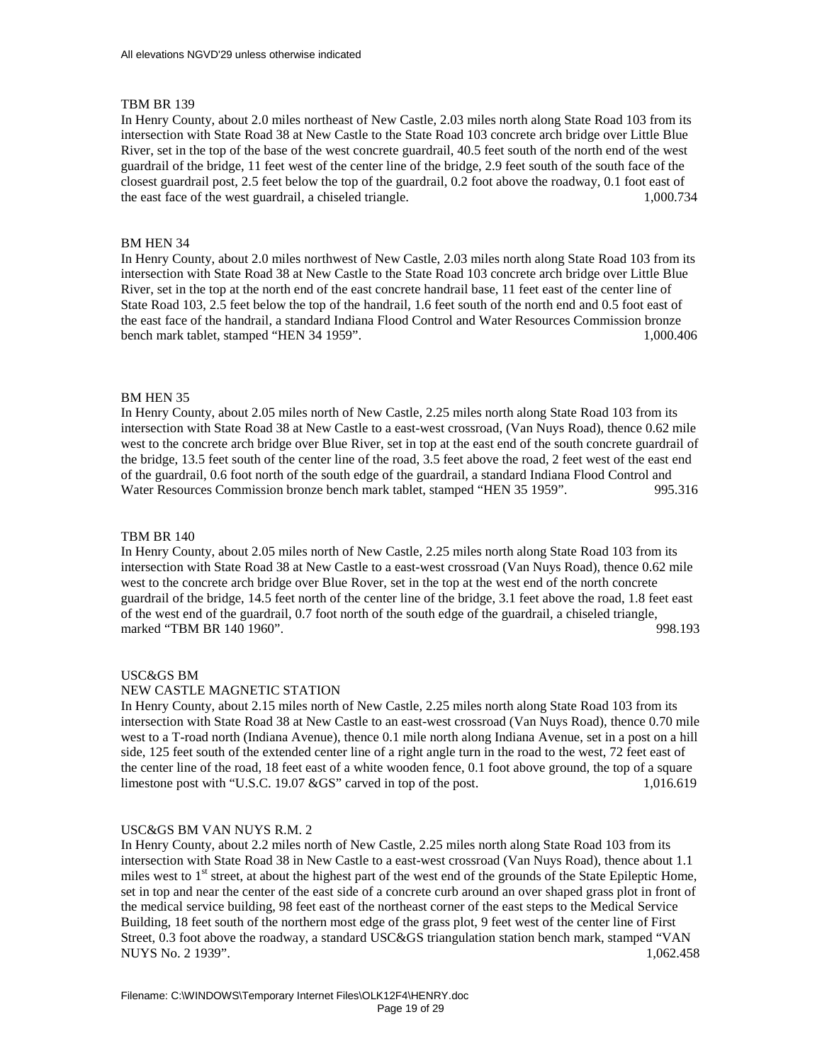In Henry County, about 2.0 miles northeast of New Castle, 2.03 miles north along State Road 103 from its intersection with State Road 38 at New Castle to the State Road 103 concrete arch bridge over Little Blue River, set in the top of the base of the west concrete guardrail, 40.5 feet south of the north end of the west guardrail of the bridge, 11 feet west of the center line of the bridge, 2.9 feet south of the south face of the closest guardrail post, 2.5 feet below the top of the guardrail, 0.2 foot above the roadway, 0.1 foot east of the east face of the west guardrail, a chiseled triangle. 1,000.734

# BM HEN 34

In Henry County, about 2.0 miles northwest of New Castle, 2.03 miles north along State Road 103 from its intersection with State Road 38 at New Castle to the State Road 103 concrete arch bridge over Little Blue River, set in the top at the north end of the east concrete handrail base, 11 feet east of the center line of State Road 103, 2.5 feet below the top of the handrail, 1.6 feet south of the north end and 0.5 foot east of the east face of the handrail, a standard Indiana Flood Control and Water Resources Commission bronze bench mark tablet, stamped "HEN 34 1959". 1,000.406

## BM HEN 35

In Henry County, about 2.05 miles north of New Castle, 2.25 miles north along State Road 103 from its intersection with State Road 38 at New Castle to a east-west crossroad, (Van Nuys Road), thence 0.62 mile west to the concrete arch bridge over Blue River, set in top at the east end of the south concrete guardrail of the bridge, 13.5 feet south of the center line of the road, 3.5 feet above the road, 2 feet west of the east end of the guardrail, 0.6 foot north of the south edge of the guardrail, a standard Indiana Flood Control and Water Resources Commission bronze bench mark tablet, stamped "HEN 35 1959". 995.316

## TBM BR 140

In Henry County, about 2.05 miles north of New Castle, 2.25 miles north along State Road 103 from its intersection with State Road 38 at New Castle to a east-west crossroad (Van Nuys Road), thence 0.62 mile west to the concrete arch bridge over Blue Rover, set in the top at the west end of the north concrete guardrail of the bridge, 14.5 feet north of the center line of the bridge, 3.1 feet above the road, 1.8 feet east of the west end of the guardrail, 0.7 foot north of the south edge of the guardrail, a chiseled triangle, marked "TBM BR 140 1960". 998.193

## USC&GS BM

## NEW CASTLE MAGNETIC STATION

In Henry County, about 2.15 miles north of New Castle, 2.25 miles north along State Road 103 from its intersection with State Road 38 at New Castle to an east-west crossroad (Van Nuys Road), thence 0.70 mile west to a T-road north (Indiana Avenue), thence 0.1 mile north along Indiana Avenue, set in a post on a hill side, 125 feet south of the extended center line of a right angle turn in the road to the west, 72 feet east of the center line of the road, 18 feet east of a white wooden fence, 0.1 foot above ground, the top of a square limestone post with "U.S.C. 19.07 &GS" carved in top of the post. 1,016.619

## USC&GS BM VAN NUYS R.M. 2

In Henry County, about 2.2 miles north of New Castle, 2.25 miles north along State Road 103 from its intersection with State Road 38 in New Castle to a east-west crossroad (Van Nuys Road), thence about 1.1 miles west to  $1<sup>st</sup>$  street, at about the highest part of the west end of the grounds of the State Epileptic Home, set in top and near the center of the east side of a concrete curb around an over shaped grass plot in front of the medical service building, 98 feet east of the northeast corner of the east steps to the Medical Service Building, 18 feet south of the northern most edge of the grass plot, 9 feet west of the center line of First Street, 0.3 foot above the roadway, a standard USC&GS triangulation station bench mark, stamped "VAN NUYS No. 2 1939". 1,062.458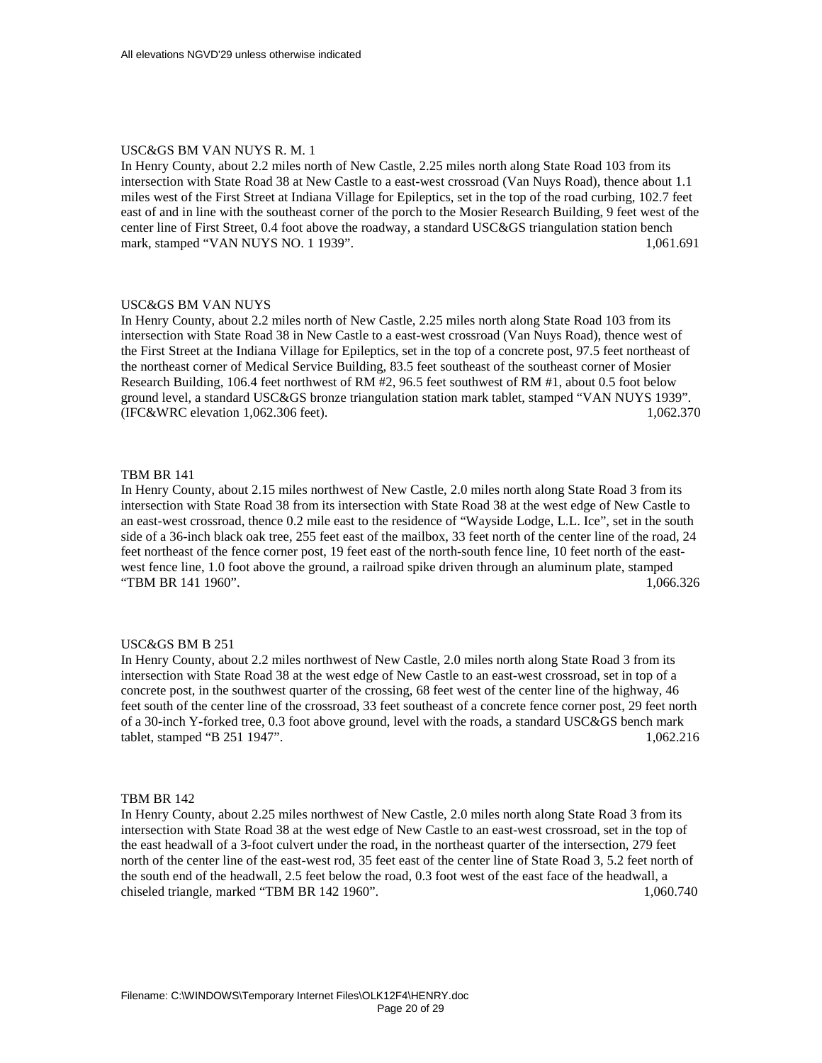## USC&GS BM VAN NUYS R. M. 1

In Henry County, about 2.2 miles north of New Castle, 2.25 miles north along State Road 103 from its intersection with State Road 38 at New Castle to a east-west crossroad (Van Nuys Road), thence about 1.1 miles west of the First Street at Indiana Village for Epileptics, set in the top of the road curbing, 102.7 feet east of and in line with the southeast corner of the porch to the Mosier Research Building, 9 feet west of the center line of First Street, 0.4 foot above the roadway, a standard USC&GS triangulation station bench mark, stamped "VAN NUYS NO. 1 1939". 1,061.691

### USC&GS BM VAN NUYS

In Henry County, about 2.2 miles north of New Castle, 2.25 miles north along State Road 103 from its intersection with State Road 38 in New Castle to a east-west crossroad (Van Nuys Road), thence west of the First Street at the Indiana Village for Epileptics, set in the top of a concrete post, 97.5 feet northeast of the northeast corner of Medical Service Building, 83.5 feet southeast of the southeast corner of Mosier Research Building, 106.4 feet northwest of RM #2, 96.5 feet southwest of RM #1, about 0.5 foot below ground level, a standard USC&GS bronze triangulation station mark tablet, stamped "VAN NUYS 1939". (IFC&WRC elevation 1,062.306 feet). 1,062.370

### TBM BR 141

In Henry County, about 2.15 miles northwest of New Castle, 2.0 miles north along State Road 3 from its intersection with State Road 38 from its intersection with State Road 38 at the west edge of New Castle to an east-west crossroad, thence 0.2 mile east to the residence of "Wayside Lodge, L.L. Ice", set in the south side of a 36-inch black oak tree, 255 feet east of the mailbox, 33 feet north of the center line of the road, 24 feet northeast of the fence corner post, 19 feet east of the north-south fence line, 10 feet north of the eastwest fence line, 1.0 foot above the ground, a railroad spike driven through an aluminum plate, stamped "TBM BR 141 1960". 1,066.326

## USC&GS BM B 251

In Henry County, about 2.2 miles northwest of New Castle, 2.0 miles north along State Road 3 from its intersection with State Road 38 at the west edge of New Castle to an east-west crossroad, set in top of a concrete post, in the southwest quarter of the crossing, 68 feet west of the center line of the highway, 46 feet south of the center line of the crossroad, 33 feet southeast of a concrete fence corner post, 29 feet north of a 30-inch Y-forked tree, 0.3 foot above ground, level with the roads, a standard USC&GS bench mark tablet, stamped "B 251 1947". 1,062.216

# TBM BR 142

In Henry County, about 2.25 miles northwest of New Castle, 2.0 miles north along State Road 3 from its intersection with State Road 38 at the west edge of New Castle to an east-west crossroad, set in the top of the east headwall of a 3-foot culvert under the road, in the northeast quarter of the intersection, 279 feet north of the center line of the east-west rod, 35 feet east of the center line of State Road 3, 5.2 feet north of the south end of the headwall, 2.5 feet below the road, 0.3 foot west of the east face of the headwall, a chiseled triangle, marked "TBM BR 142 1960". 1,060.740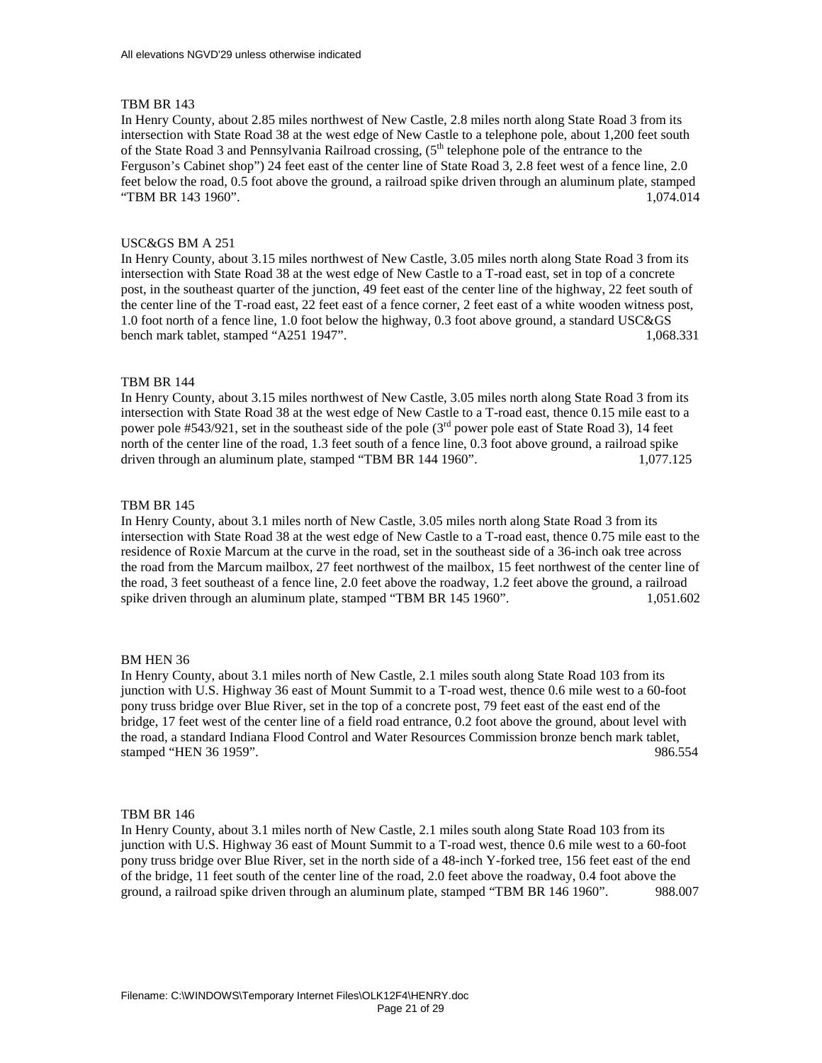In Henry County, about 2.85 miles northwest of New Castle, 2.8 miles north along State Road 3 from its intersection with State Road 38 at the west edge of New Castle to a telephone pole, about 1,200 feet south of the State Road 3 and Pennsylvania Railroad crossing, (5<sup>th</sup> telephone pole of the entrance to the Ferguson's Cabinet shop") 24 feet east of the center line of State Road 3, 2.8 feet west of a fence line, 2.0 feet below the road, 0.5 foot above the ground, a railroad spike driven through an aluminum plate, stamped "TBM BR 143 1960". 1,074.014

## USC&GS BM A 251

In Henry County, about 3.15 miles northwest of New Castle, 3.05 miles north along State Road 3 from its intersection with State Road 38 at the west edge of New Castle to a T-road east, set in top of a concrete post, in the southeast quarter of the junction, 49 feet east of the center line of the highway, 22 feet south of the center line of the T-road east, 22 feet east of a fence corner, 2 feet east of a white wooden witness post, 1.0 foot north of a fence line, 1.0 foot below the highway, 0.3 foot above ground, a standard USC&GS bench mark tablet, stamped "A251 1947". 1,068.331

#### TBM BR 144

In Henry County, about 3.15 miles northwest of New Castle, 3.05 miles north along State Road 3 from its intersection with State Road 38 at the west edge of New Castle to a T-road east, thence 0.15 mile east to a power pole #543/921, set in the southeast side of the pole (3<sup>rd</sup> power pole east of State Road 3), 14 feet north of the center line of the road, 1.3 feet south of a fence line, 0.3 foot above ground, a railroad spike driven through an aluminum plate, stamped "TBM BR 144 1960". 1,077.125

#### TBM BR 145

In Henry County, about 3.1 miles north of New Castle, 3.05 miles north along State Road 3 from its intersection with State Road 38 at the west edge of New Castle to a T-road east, thence 0.75 mile east to the residence of Roxie Marcum at the curve in the road, set in the southeast side of a 36-inch oak tree across the road from the Marcum mailbox, 27 feet northwest of the mailbox, 15 feet northwest of the center line of the road, 3 feet southeast of a fence line, 2.0 feet above the roadway, 1.2 feet above the ground, a railroad spike driven through an aluminum plate, stamped "TBM BR 145 1960". 1,051.602

#### BM HEN 36

In Henry County, about 3.1 miles north of New Castle, 2.1 miles south along State Road 103 from its junction with U.S. Highway 36 east of Mount Summit to a T-road west, thence 0.6 mile west to a 60-foot pony truss bridge over Blue River, set in the top of a concrete post, 79 feet east of the east end of the bridge, 17 feet west of the center line of a field road entrance, 0.2 foot above the ground, about level with the road, a standard Indiana Flood Control and Water Resources Commission bronze bench mark tablet, stamped "HEN 36 1959". 986.554

### TBM BR 146

In Henry County, about 3.1 miles north of New Castle, 2.1 miles south along State Road 103 from its junction with U.S. Highway 36 east of Mount Summit to a T-road west, thence 0.6 mile west to a 60-foot pony truss bridge over Blue River, set in the north side of a 48-inch Y-forked tree, 156 feet east of the end of the bridge, 11 feet south of the center line of the road, 2.0 feet above the roadway, 0.4 foot above the ground, a railroad spike driven through an aluminum plate, stamped "TBM BR 146 1960". 988.007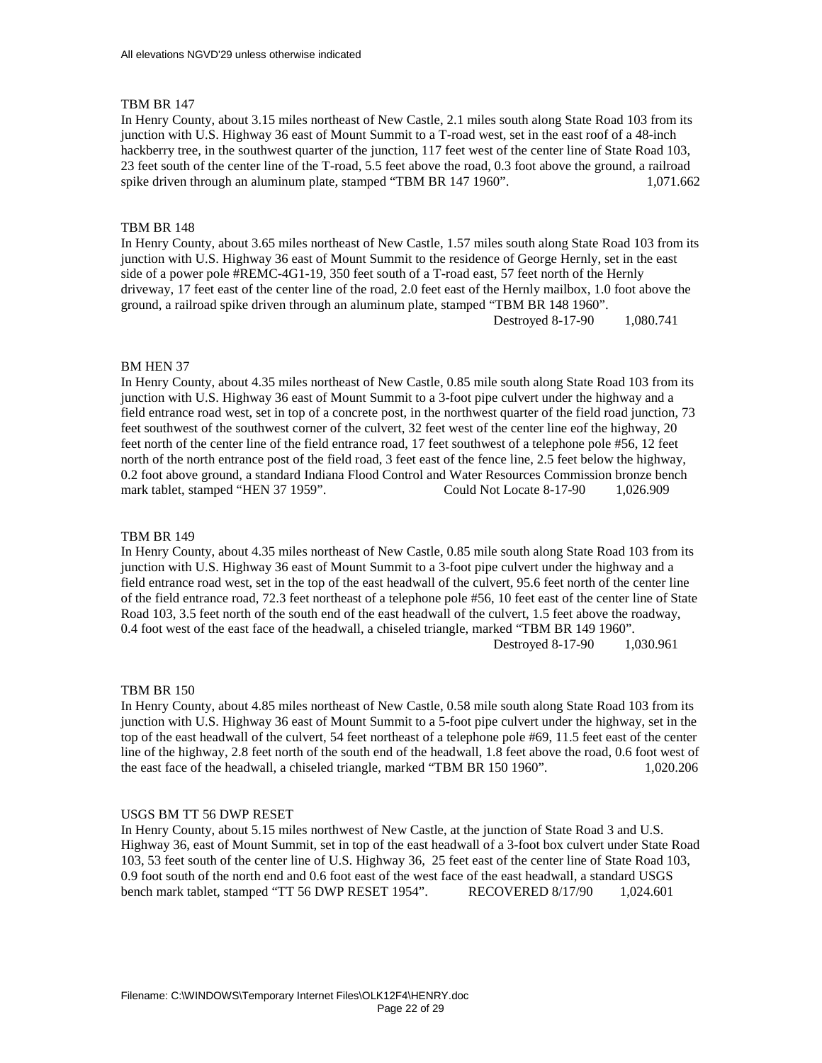In Henry County, about 3.15 miles northeast of New Castle, 2.1 miles south along State Road 103 from its junction with U.S. Highway 36 east of Mount Summit to a T-road west, set in the east roof of a 48-inch hackberry tree, in the southwest quarter of the junction, 117 feet west of the center line of State Road 103, 23 feet south of the center line of the T-road, 5.5 feet above the road, 0.3 foot above the ground, a railroad spike driven through an aluminum plate, stamped "TBM BR 147 1960". 1,071.662

## TBM BR 148

In Henry County, about 3.65 miles northeast of New Castle, 1.57 miles south along State Road 103 from its junction with U.S. Highway 36 east of Mount Summit to the residence of George Hernly, set in the east side of a power pole #REMC-4G1-19, 350 feet south of a T-road east, 57 feet north of the Hernly driveway, 17 feet east of the center line of the road, 2.0 feet east of the Hernly mailbox, 1.0 foot above the ground, a railroad spike driven through an aluminum plate, stamped "TBM BR 148 1960". Destroyed 8-17-90 1,080.741

#### BM HEN 37

In Henry County, about 4.35 miles northeast of New Castle, 0.85 mile south along State Road 103 from its junction with U.S. Highway 36 east of Mount Summit to a 3-foot pipe culvert under the highway and a field entrance road west, set in top of a concrete post, in the northwest quarter of the field road junction, 73 feet southwest of the southwest corner of the culvert, 32 feet west of the center line eof the highway, 20 feet north of the center line of the field entrance road, 17 feet southwest of a telephone pole #56, 12 feet north of the north entrance post of the field road, 3 feet east of the fence line, 2.5 feet below the highway, 0.2 foot above ground, a standard Indiana Flood Control and Water Resources Commission bronze bench mark tablet, stamped "HEN 37 1959". Could Not Locate 8-17-90 1,026.909

### TBM BR 149

In Henry County, about 4.35 miles northeast of New Castle, 0.85 mile south along State Road 103 from its junction with U.S. Highway 36 east of Mount Summit to a 3-foot pipe culvert under the highway and a field entrance road west, set in the top of the east headwall of the culvert, 95.6 feet north of the center line of the field entrance road, 72.3 feet northeast of a telephone pole #56, 10 feet east of the center line of State Road 103, 3.5 feet north of the south end of the east headwall of the culvert, 1.5 feet above the roadway, 0.4 foot west of the east face of the headwall, a chiseled triangle, marked "TBM BR 149 1960". Destroyed 8-17-90 1,030.961

### TBM BR 150

In Henry County, about 4.85 miles northeast of New Castle, 0.58 mile south along State Road 103 from its junction with U.S. Highway 36 east of Mount Summit to a 5-foot pipe culvert under the highway, set in the top of the east headwall of the culvert, 54 feet northeast of a telephone pole #69, 11.5 feet east of the center line of the highway, 2.8 feet north of the south end of the headwall, 1.8 feet above the road, 0.6 foot west of the east face of the headwall, a chiseled triangle, marked "TBM BR 150 1960". 1,020.206

### USGS BM TT 56 DWP RESET

In Henry County, about 5.15 miles northwest of New Castle, at the junction of State Road 3 and U.S. Highway 36, east of Mount Summit, set in top of the east headwall of a 3-foot box culvert under State Road 103, 53 feet south of the center line of U.S. Highway 36, 25 feet east of the center line of State Road 103, 0.9 foot south of the north end and 0.6 foot east of the west face of the east headwall, a standard USGS bench mark tablet, stamped "TT 56 DWP RESET 1954". RECOVERED 8/17/90 1,024.601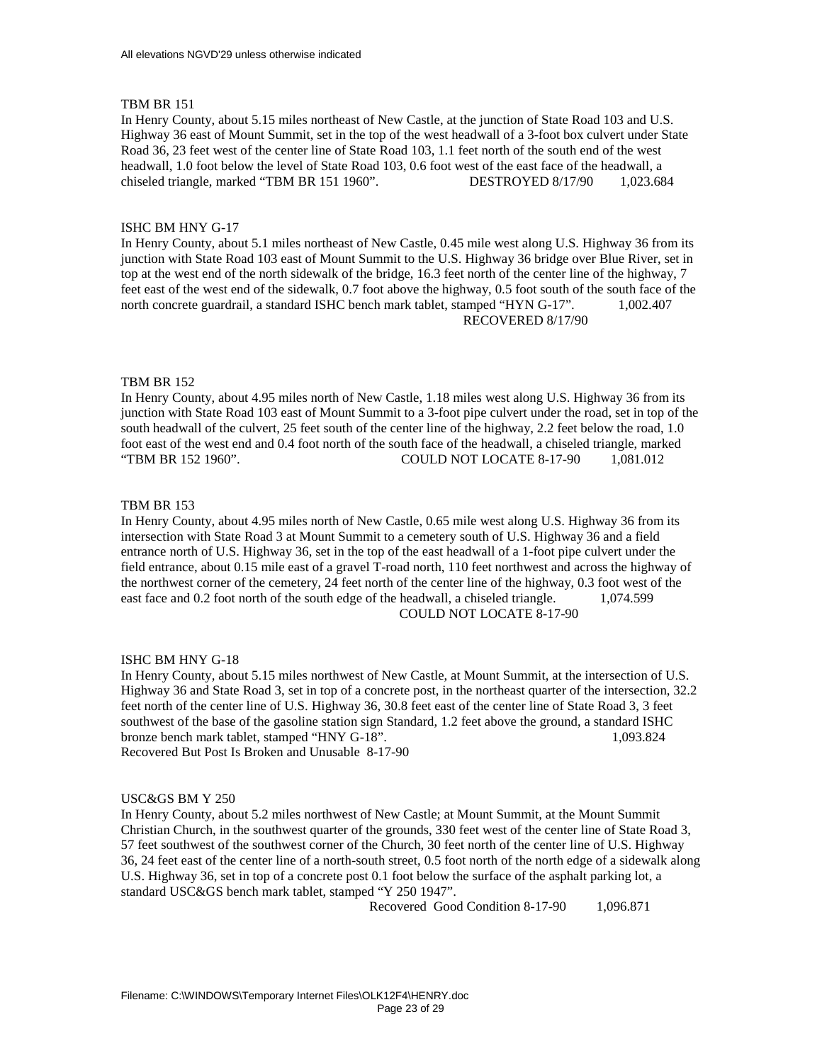In Henry County, about 5.15 miles northeast of New Castle, at the junction of State Road 103 and U.S. Highway 36 east of Mount Summit, set in the top of the west headwall of a 3-foot box culvert under State Road 36, 23 feet west of the center line of State Road 103, 1.1 feet north of the south end of the west headwall, 1.0 foot below the level of State Road 103, 0.6 foot west of the east face of the headwall, a chiseled triangle, marked "TBM BR 151 1960". DESTROYED 8/17/90 1,023.684

## ISHC BM HNY G-17

In Henry County, about 5.1 miles northeast of New Castle, 0.45 mile west along U.S. Highway 36 from its junction with State Road 103 east of Mount Summit to the U.S. Highway 36 bridge over Blue River, set in top at the west end of the north sidewalk of the bridge, 16.3 feet north of the center line of the highway, 7 feet east of the west end of the sidewalk, 0.7 foot above the highway, 0.5 foot south of the south face of the north concrete guardrail, a standard ISHC bench mark tablet, stamped "HYN G-17". 1,002.407 RECOVERED 8/17/90

## TBM BR 152

In Henry County, about 4.95 miles north of New Castle, 1.18 miles west along U.S. Highway 36 from its junction with State Road 103 east of Mount Summit to a 3-foot pipe culvert under the road, set in top of the south headwall of the culvert, 25 feet south of the center line of the highway, 2.2 feet below the road, 1.0 foot east of the west end and 0.4 foot north of the south face of the headwall, a chiseled triangle, marked "TBM BR 152 1960". COULD NOT LOCATE 8-17-90 1,081.012

## TBM BR 153

In Henry County, about 4.95 miles north of New Castle, 0.65 mile west along U.S. Highway 36 from its intersection with State Road 3 at Mount Summit to a cemetery south of U.S. Highway 36 and a field entrance north of U.S. Highway 36, set in the top of the east headwall of a 1-foot pipe culvert under the field entrance, about 0.15 mile east of a gravel T-road north, 110 feet northwest and across the highway of the northwest corner of the cemetery, 24 feet north of the center line of the highway, 0.3 foot west of the east face and 0.2 foot north of the south edge of the headwall, a chiseled triangle. 1,074.599 COULD NOT LOCATE 8-17-90

#### ISHC BM HNY G-18

In Henry County, about 5.15 miles northwest of New Castle, at Mount Summit, at the intersection of U.S. Highway 36 and State Road 3, set in top of a concrete post, in the northeast quarter of the intersection, 32.2 feet north of the center line of U.S. Highway 36, 30.8 feet east of the center line of State Road 3, 3 feet southwest of the base of the gasoline station sign Standard, 1.2 feet above the ground, a standard ISHC bronze bench mark tablet, stamped "HNY G-18". 1,093.824 Recovered But Post Is Broken and Unusable 8-17-90

## USC&GS BM Y 250

In Henry County, about 5.2 miles northwest of New Castle; at Mount Summit, at the Mount Summit Christian Church, in the southwest quarter of the grounds, 330 feet west of the center line of State Road 3, 57 feet southwest of the southwest corner of the Church, 30 feet north of the center line of U.S. Highway 36, 24 feet east of the center line of a north-south street, 0.5 foot north of the north edge of a sidewalk along U.S. Highway 36, set in top of a concrete post 0.1 foot below the surface of the asphalt parking lot, a standard USC&GS bench mark tablet, stamped "Y 250 1947".

Recovered Good Condition 8-17-90 1.096.871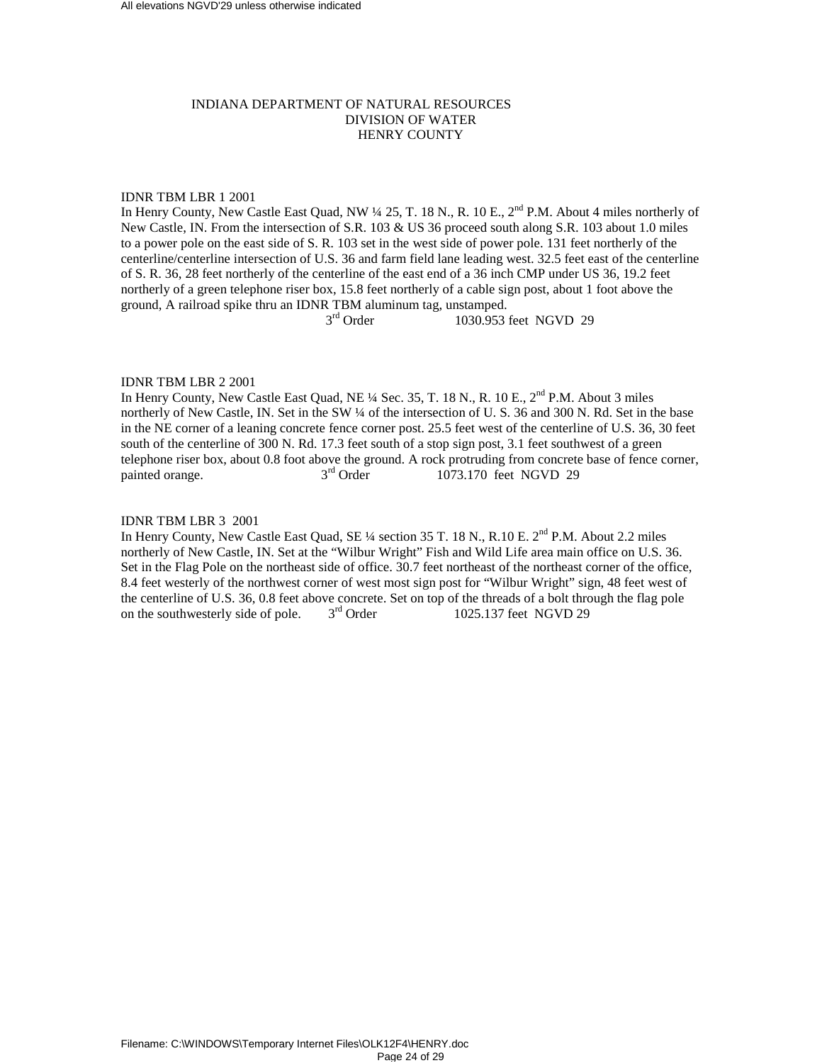# INDIANA DEPARTMENT OF NATURAL RESOURCES DIVISION OF WATER HENRY COUNTY

# IDNR TBM LBR 1 2001

In Henry County, New Castle East Quad, NW  $\frac{1}{4}$  25, T. 18 N., R. 10 E.,  $2^{nd}$  P.M. About 4 miles northerly of New Castle, IN. From the intersection of S.R. 103 & US 36 proceed south along S.R. 103 about 1.0 miles to a power pole on the east side of S. R. 103 set in the west side of power pole. 131 feet northerly of the centerline/centerline intersection of U.S. 36 and farm field lane leading west. 32.5 feet east of the centerline of S. R. 36, 28 feet northerly of the centerline of the east end of a 36 inch CMP under US 36, 19.2 feet northerly of a green telephone riser box, 15.8 feet northerly of a cable sign post, about 1 foot above the ground, A railroad spike thru an IDNR TBM aluminum tag, unstamped.<br> $3<sup>rd</sup> Order$  1030.953

1030.953 feet NGVD 29

# IDNR TBM LBR 2 2001

In Henry County, New Castle East Quad, NE <sup>1</sup>/4 Sec. 35, T. 18 N., R. 10 E., 2<sup>nd</sup> P.M. About 3 miles northerly of New Castle, IN. Set in the SW ¼ of the intersection of U. S. 36 and 300 N. Rd. Set in the base in the NE corner of a leaning concrete fence corner post. 25.5 feet west of the centerline of U.S. 36, 30 feet south of the centerline of 300 N. Rd. 17.3 feet south of a stop sign post, 3.1 feet southwest of a green telephone riser box, about 0.8 foot above the ground. A rock protruding from concrete base of fence corner, painted orange.  $3<sup>rd</sup>$  Order 1073.170 feet NGVD 29 painted orange.  $3<sup>rd</sup>$  Order  $1073.170$  feet NGVD 29

# IDNR TBM LBR 3 2001

In Henry County, New Castle East Quad, SE  $\frac{1}{4}$  section 35 T. 18 N., R.10 E.  $2^{nd}$  P.M. About 2.2 miles northerly of New Castle, IN. Set at the "Wilbur Wright" Fish and Wild Life area main office on U.S. 36. Set in the Flag Pole on the northeast side of office. 30.7 feet northeast of the northeast corner of the office, 8.4 feet westerly of the northwest corner of west most sign post for "Wilbur Wright" sign, 48 feet west of the centerline of U.S. 36, 0.8 feet above concrete. Set on top of the threads of a bolt through the flag pole<br>on the southwesterly side of pole.  $3^{rd}$  Order 1025.137 feet NGVD 29 on the southwesterly side of pole.  $3<sup>rd</sup>$  Order 1025.137 feet NGVD 29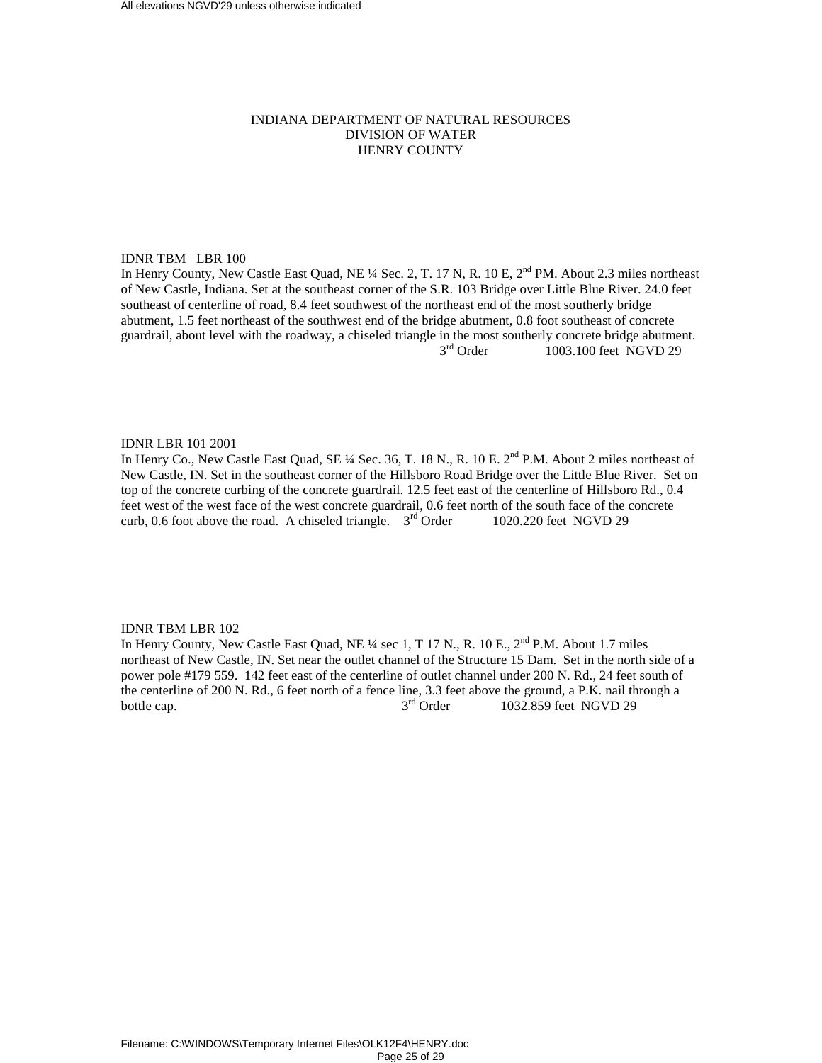# INDIANA DEPARTMENT OF NATURAL RESOURCES DIVISION OF WATER HENRY COUNTY

# IDNR TBM LBR 100

In Henry County, New Castle East Quad, NE ¼ Sec. 2, T. 17 N, R. 10 E, 2<sup>nd</sup> PM. About 2.3 miles northeast of New Castle, Indiana. Set at the southeast corner of the S.R. 103 Bridge over Little Blue River. 24.0 feet southeast of centerline of road, 8.4 feet southwest of the northeast end of the most southerly bridge abutment, 1.5 feet northeast of the southwest end of the bridge abutment, 0.8 foot southeast of concrete guardrail, about level with the roadway, a chiseled triangle in the most southerly concrete bridge abutment.<br> $3<sup>rd</sup>$  Order 1003.100 feet NGVD 29 1003.100 feet NGVD 29

# IDNR LBR 101 2001

In Henry Co., New Castle East Quad, SE ¼ Sec. 36, T. 18 N., R. 10 E. 2<sup>nd</sup> P.M. About 2 miles northeast of New Castle, IN. Set in the southeast corner of the Hillsboro Road Bridge over the Little Blue River. Set on top of the concrete curbing of the concrete guardrail. 12.5 feet east of the centerline of Hillsboro Rd., 0.4 feet west of the west face of the west concrete guardrail, 0.6 feet north of the south face of the concrete curb, 0.6 foot above the road. A chiseled triangle.  $3<sup>rd</sup>$  Order 1020.220 feet NGVD 29

# IDNR TBM LBR 102

In Henry County, New Castle East Quad, NE  $\frac{1}{4}$  sec 1, T 17 N., R. 10 E.,  $2^{nd}$  P.M. About 1.7 miles northeast of New Castle, IN. Set near the outlet channel of the Structure 15 Dam. Set in the north side of a power pole #179 559. 142 feet east of the centerline of outlet channel under 200 N. Rd., 24 feet south of the centerline of 200 N. Rd., 6 feet north of a fence line, 3.3 feet above the ground, a P.K. nail through a bottle cap.  $3<sup>rd</sup> Order$  1032.859 feet NGVD 29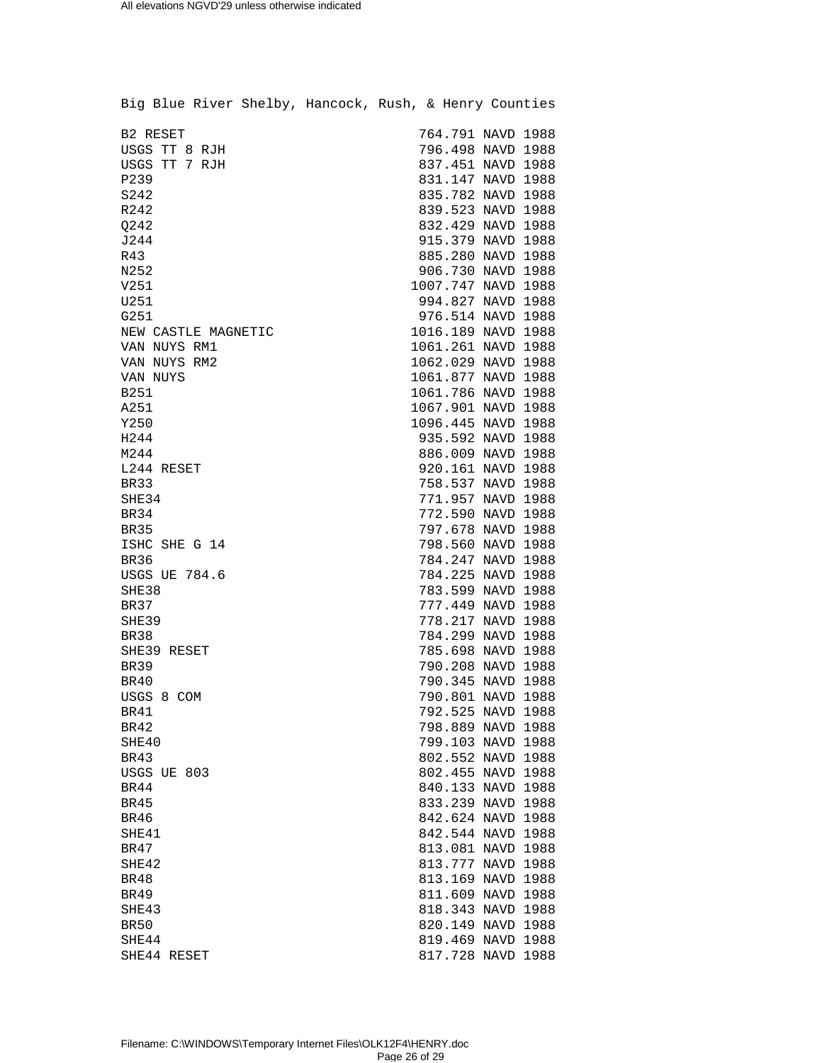| Big Blue River Shelby, Hancock, Rush, & Henry Counties |  |                                        |  |
|--------------------------------------------------------|--|----------------------------------------|--|
| B2 RESET                                               |  | 764.791 NAVD 1988                      |  |
| USGS TT 8 RJH                                          |  | 796.498 NAVD 1988                      |  |
| USGS TT 7 RJH                                          |  | 837.451 NAVD 1988                      |  |
| P239                                                   |  | 831.147 NAVD 1988                      |  |
| S242                                                   |  | 835.782 NAVD 1988                      |  |
| R242                                                   |  | 839.523 NAVD 1988                      |  |
|                                                        |  |                                        |  |
| Q242<br>J244                                           |  | 832.429 NAVD 1988                      |  |
| R43                                                    |  | 915.379 NAVD 1988<br>885.280 NAVD 1988 |  |
| N252                                                   |  | 906.730 NAVD 1988                      |  |
| V251                                                   |  | 1007.747 NAVD 1988                     |  |
| U251                                                   |  | 994.827 NAVD 1988                      |  |
| G251                                                   |  | 976.514 NAVD 1988                      |  |
|                                                        |  | 1016.189 NAVD 1988                     |  |
| NEW CASTLE MAGNETIC                                    |  |                                        |  |
| VAN NUYS RM1<br>VAN NUYS RM2                           |  | 1061.261 NAVD 1988                     |  |
|                                                        |  | 1062.029 NAVD 1988                     |  |
| VAN NUYS                                               |  | 1061.877 NAVD 1988                     |  |
| <b>B251</b>                                            |  | 1061.786 NAVD 1988                     |  |
| A251                                                   |  | 1067.901 NAVD 1988                     |  |
| Y250                                                   |  | 1096.445 NAVD 1988                     |  |
| H244                                                   |  | 935.592 NAVD 1988                      |  |
| M244                                                   |  | 886.009 NAVD 1988                      |  |
| L244 RESET                                             |  | 920.161 NAVD 1988                      |  |
| <b>BR33</b>                                            |  | 758.537 NAVD 1988                      |  |
| SHE34                                                  |  | 771.957 NAVD 1988                      |  |
| BR34                                                   |  | 772.590 NAVD 1988                      |  |
| <b>BR35</b>                                            |  | 797.678 NAVD 1988                      |  |
| ISHC SHE G 14                                          |  | 798.560 NAVD 1988                      |  |
| BR36                                                   |  | 784.247 NAVD 1988                      |  |
| <b>USGS UE 784.6</b>                                   |  | 784.225 NAVD 1988                      |  |
| SHE38                                                  |  | 783.599 NAVD 1988                      |  |
| <b>BR37</b>                                            |  | 777.449 NAVD 1988                      |  |
| SHE39                                                  |  | 778.217 NAVD 1988                      |  |
| BR38                                                   |  | 784.299 NAVD 1988                      |  |
| SHE39 RESET                                            |  | 785.698 NAVD 1988                      |  |
| <b>BR39</b>                                            |  | 790.208 NAVD 1988                      |  |
| BR40                                                   |  | 790.345 NAVD 1988                      |  |
| USGS 8 COM                                             |  | 790.801 NAVD 1988                      |  |
| BR41                                                   |  | 792.525 NAVD 1988                      |  |
| BR42                                                   |  | 798.889 NAVD 1988                      |  |
| SHE40                                                  |  | 799.103 NAVD 1988                      |  |
| <b>BR43</b>                                            |  | 802.552 NAVD 1988                      |  |
| USGS UE 803                                            |  | 802.455 NAVD 1988                      |  |
| BR44                                                   |  | 840.133 NAVD 1988                      |  |
| BR45                                                   |  | 833.239 NAVD 1988                      |  |
| <b>BR46</b>                                            |  | 842.624 NAVD 1988                      |  |
| SHE41                                                  |  | 842.544 NAVD 1988                      |  |
| BR47                                                   |  | 813.081 NAVD 1988                      |  |
| SHE42                                                  |  | 813.777 NAVD 1988                      |  |
| BR48                                                   |  | 813.169 NAVD 1988                      |  |
| <b>BR49</b>                                            |  | 811.609 NAVD 1988                      |  |
| SHE43                                                  |  | 818.343 NAVD 1988                      |  |
| <b>BR50</b>                                            |  | 820.149 NAVD 1988                      |  |
| SHE44                                                  |  | 819.469 NAVD 1988                      |  |
| SHE44 RESET                                            |  | 817.728 NAVD 1988                      |  |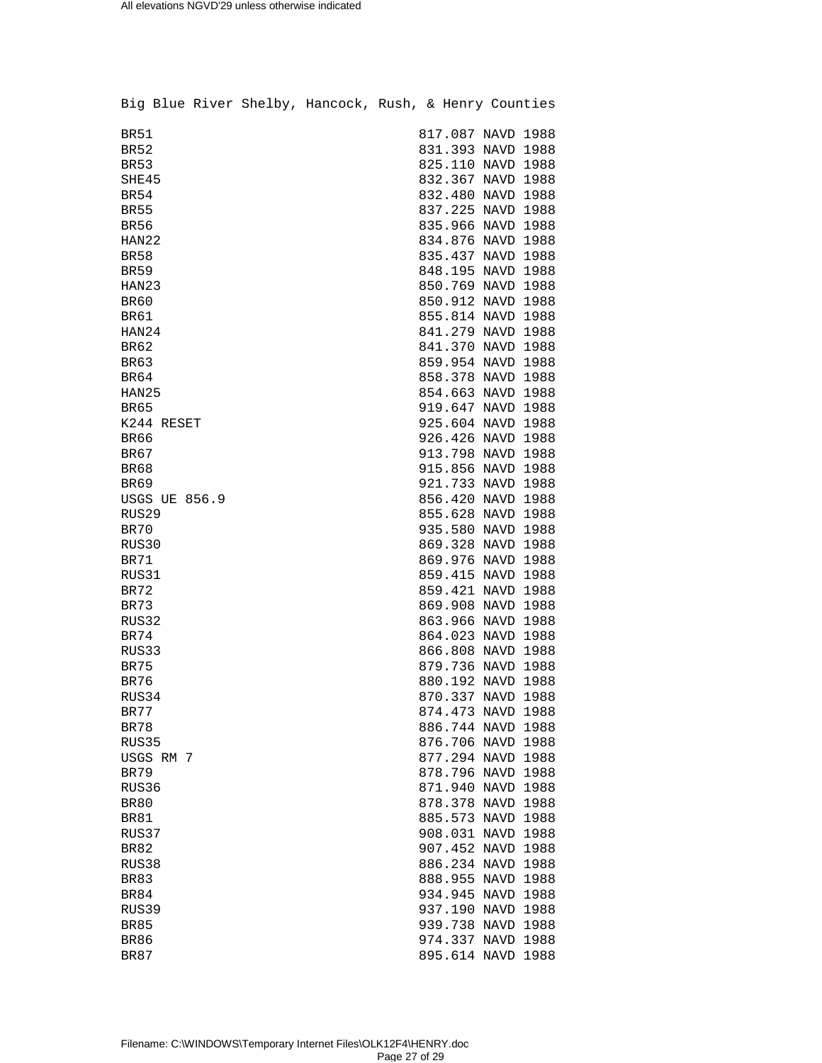|                      |  | Big Blue River Shelby, Hancock, Rush, & Henry Counties |  |                   |  |
|----------------------|--|--------------------------------------------------------|--|-------------------|--|
| <b>BR51</b>          |  |                                                        |  | 817.087 NAVD 1988 |  |
| BR52                 |  |                                                        |  | 831.393 NAVD 1988 |  |
| <b>BR53</b>          |  |                                                        |  | 825.110 NAVD 1988 |  |
| SHE45                |  |                                                        |  | 832.367 NAVD 1988 |  |
| BR54                 |  |                                                        |  | 832.480 NAVD 1988 |  |
| <b>BR55</b>          |  |                                                        |  | 837.225 NAVD 1988 |  |
| <b>BR56</b>          |  |                                                        |  | 835.966 NAVD 1988 |  |
| HAN22                |  |                                                        |  | 834.876 NAVD 1988 |  |
| <b>BR58</b>          |  |                                                        |  | 835.437 NAVD 1988 |  |
| <b>BR59</b>          |  |                                                        |  | 848.195 NAVD 1988 |  |
| HAN23                |  |                                                        |  | 850.769 NAVD 1988 |  |
| <b>BR60</b>          |  |                                                        |  | 850.912 NAVD 1988 |  |
| <b>BR61</b>          |  |                                                        |  | 855.814 NAVD 1988 |  |
| HAN24                |  |                                                        |  | 841.279 NAVD 1988 |  |
| <b>BR62</b>          |  |                                                        |  | 841.370 NAVD 1988 |  |
| <b>BR63</b>          |  |                                                        |  | 859.954 NAVD 1988 |  |
| <b>BR64</b>          |  |                                                        |  | 858.378 NAVD 1988 |  |
| HAN25                |  |                                                        |  | 854.663 NAVD 1988 |  |
| BR65                 |  |                                                        |  | 919.647 NAVD 1988 |  |
| K244 RESET           |  |                                                        |  | 925.604 NAVD 1988 |  |
| <b>BR66</b>          |  |                                                        |  | 926.426 NAVD 1988 |  |
| <b>BR67</b>          |  |                                                        |  | 913.798 NAVD 1988 |  |
| <b>BR68</b>          |  |                                                        |  | 915.856 NAVD 1988 |  |
| <b>BR69</b>          |  |                                                        |  | 921.733 NAVD 1988 |  |
| <b>USGS UE 856.9</b> |  |                                                        |  | 856.420 NAVD 1988 |  |
| RUS29                |  |                                                        |  | 855.628 NAVD 1988 |  |
| BR70                 |  |                                                        |  | 935.580 NAVD 1988 |  |
| RUS30                |  |                                                        |  | 869.328 NAVD 1988 |  |
| BR71                 |  |                                                        |  | 869.976 NAVD 1988 |  |
| RUS31                |  |                                                        |  | 859.415 NAVD 1988 |  |
| <b>BR72</b>          |  |                                                        |  | 859.421 NAVD 1988 |  |
| BR73                 |  |                                                        |  | 869.908 NAVD 1988 |  |
| RUS32                |  |                                                        |  | 863.966 NAVD 1988 |  |
| <b>BR74</b>          |  |                                                        |  | 864.023 NAVD 1988 |  |
| RUS33                |  |                                                        |  | 866.808 NAVD 1988 |  |
| <b>BR75</b>          |  |                                                        |  | 879.736 NAVD 1988 |  |
| BR76                 |  |                                                        |  | 880.192 NAVD 1988 |  |
| RUS34                |  |                                                        |  | 870.337 NAVD 1988 |  |
| BR77                 |  |                                                        |  | 874.473 NAVD 1988 |  |
| <b>BR78</b>          |  |                                                        |  | 886.744 NAVD 1988 |  |
| RUS35                |  |                                                        |  | 876.706 NAVD 1988 |  |
| USGS RM 7            |  |                                                        |  | 877.294 NAVD 1988 |  |
| BR79                 |  |                                                        |  | 878.796 NAVD 1988 |  |
| RUS36                |  |                                                        |  | 871.940 NAVD 1988 |  |
| <b>BR80</b>          |  |                                                        |  | 878.378 NAVD 1988 |  |
| BR81                 |  |                                                        |  | 885.573 NAVD 1988 |  |
| RUS37                |  |                                                        |  | 908.031 NAVD 1988 |  |
| <b>BR82</b>          |  |                                                        |  | 907.452 NAVD 1988 |  |
|                      |  |                                                        |  |                   |  |
| RUS38                |  |                                                        |  | 886.234 NAVD 1988 |  |
| <b>BR83</b>          |  |                                                        |  | 888.955 NAVD 1988 |  |
| <b>BR84</b>          |  |                                                        |  | 934.945 NAVD 1988 |  |
| RUS39                |  |                                                        |  | 937.190 NAVD 1988 |  |
| <b>BR85</b>          |  |                                                        |  | 939.738 NAVD 1988 |  |
| BR86                 |  |                                                        |  | 974.337 NAVD 1988 |  |
| <b>BR87</b>          |  |                                                        |  | 895.614 NAVD 1988 |  |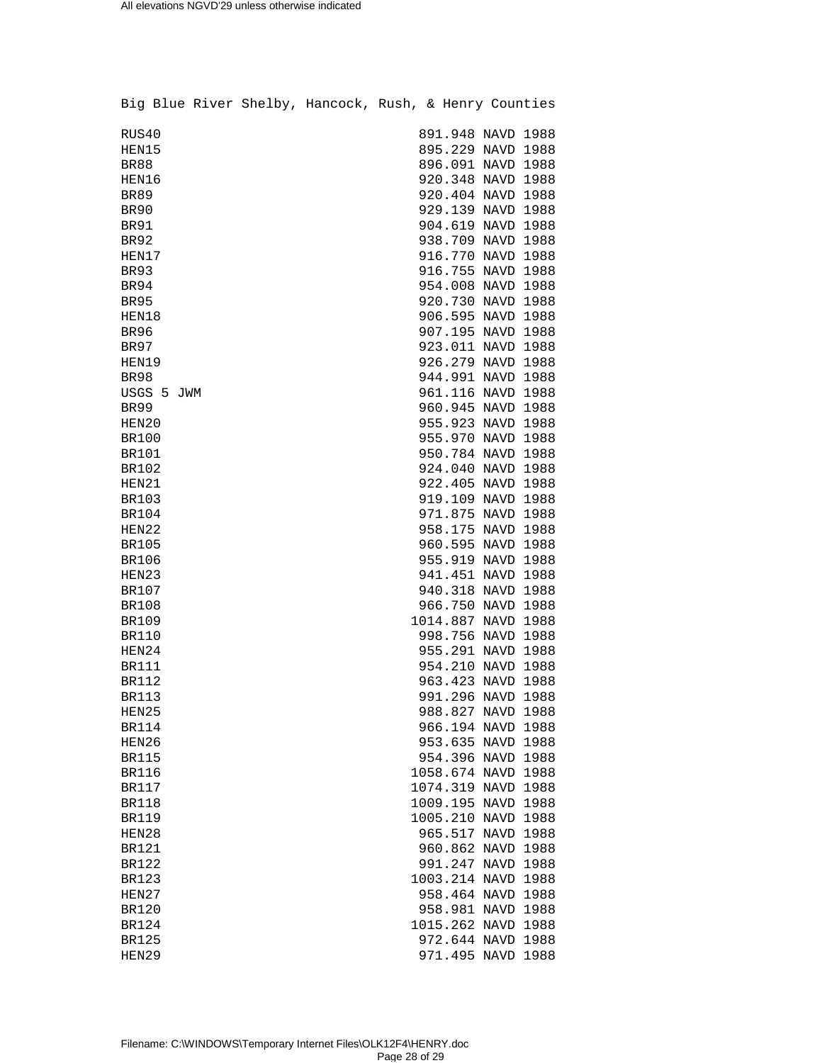|              |            |  | Big Blue River Shelby, Hancock, Rush, & Henry Counties |  |                                        |  |
|--------------|------------|--|--------------------------------------------------------|--|----------------------------------------|--|
| RUS40        |            |  |                                                        |  | 891.948 NAVD 1988                      |  |
| HEN15        |            |  |                                                        |  | 895.229 NAVD 1988                      |  |
| <b>BR88</b>  |            |  |                                                        |  | 896.091 NAVD 1988                      |  |
| HEN16        |            |  |                                                        |  | 920.348 NAVD 1988                      |  |
| <b>BR89</b>  |            |  |                                                        |  | 920.404 NAVD 1988                      |  |
| BR90         |            |  |                                                        |  | 929.139 NAVD 1988                      |  |
| <b>BR91</b>  |            |  |                                                        |  | 904.619 NAVD 1988                      |  |
| <b>BR92</b>  |            |  |                                                        |  | 938.709 NAVD 1988                      |  |
| HEN17        |            |  |                                                        |  | 916.770 NAVD 1988                      |  |
| <b>BR93</b>  |            |  |                                                        |  | 916.755 NAVD 1988                      |  |
| BR94         |            |  |                                                        |  | 954.008 NAVD 1988                      |  |
| <b>BR95</b>  |            |  |                                                        |  | 920.730 NAVD 1988                      |  |
| HEN18        |            |  |                                                        |  | 906.595 NAVD 1988                      |  |
| <b>BR96</b>  |            |  |                                                        |  | 907.195 NAVD 1988                      |  |
| <b>BR97</b>  |            |  |                                                        |  | 923.011 NAVD 1988                      |  |
| HEN19        |            |  |                                                        |  | 926.279 NAVD 1988                      |  |
| <b>BR98</b>  |            |  |                                                        |  |                                        |  |
|              | USGS 5 JWM |  |                                                        |  | 944.991 NAVD 1988<br>961.116 NAVD 1988 |  |
|              |            |  |                                                        |  |                                        |  |
| <b>BR99</b>  |            |  |                                                        |  | 960.945 NAVD 1988                      |  |
| HEN20        |            |  |                                                        |  | 955.923 NAVD 1988                      |  |
| <b>BR100</b> |            |  |                                                        |  | 955.970 NAVD 1988                      |  |
| <b>BR101</b> |            |  |                                                        |  | 950.784 NAVD 1988                      |  |
| BR102        |            |  |                                                        |  | 924.040 NAVD 1988                      |  |
| HEN21        |            |  |                                                        |  | 922.405 NAVD 1988                      |  |
| <b>BR103</b> |            |  |                                                        |  | 919.109 NAVD 1988                      |  |
| BR104        |            |  |                                                        |  | 971.875 NAVD 1988                      |  |
| HEN22        |            |  |                                                        |  | 958.175 NAVD 1988                      |  |
| <b>BR105</b> |            |  |                                                        |  | 960.595 NAVD 1988                      |  |
| <b>BR106</b> |            |  |                                                        |  | 955.919 NAVD 1988                      |  |
| HEN23        |            |  |                                                        |  | 941.451 NAVD 1988                      |  |
| BR107        |            |  |                                                        |  | 940.318 NAVD 1988                      |  |
| <b>BR108</b> |            |  |                                                        |  | 966.750 NAVD 1988                      |  |
| <b>BR109</b> |            |  |                                                        |  | 1014.887 NAVD 1988                     |  |
| <b>BR110</b> |            |  |                                                        |  | 998.756 NAVD 1988                      |  |
| HEN24        |            |  |                                                        |  | 955.291 NAVD 1988                      |  |
| <b>BR111</b> |            |  |                                                        |  | 954.210 NAVD 1988                      |  |
| <b>BR112</b> |            |  |                                                        |  | 963.423 NAVD 1988                      |  |
| <b>BR113</b> |            |  |                                                        |  | 991.296 NAVD 1988                      |  |
| HEN25        |            |  |                                                        |  | 988.827 NAVD 1988                      |  |
| <b>BR114</b> |            |  |                                                        |  | 966.194 NAVD 1988                      |  |
| HEN26        |            |  |                                                        |  | 953.635 NAVD 1988                      |  |
| <b>BR115</b> |            |  |                                                        |  | 954.396 NAVD 1988                      |  |
| <b>BR116</b> |            |  |                                                        |  | 1058.674 NAVD 1988                     |  |
| <b>BR117</b> |            |  |                                                        |  | 1074.319 NAVD 1988                     |  |
| <b>BR118</b> |            |  |                                                        |  | 1009.195 NAVD 1988                     |  |
| <b>BR119</b> |            |  |                                                        |  | 1005.210 NAVD 1988                     |  |
| HEN28        |            |  |                                                        |  | 965.517 NAVD 1988                      |  |
| <b>BR121</b> |            |  |                                                        |  | 960.862 NAVD 1988                      |  |
| <b>BR122</b> |            |  |                                                        |  | 991.247 NAVD 1988                      |  |
| <b>BR123</b> |            |  |                                                        |  | 1003.214 NAVD 1988                     |  |
| HEN27        |            |  |                                                        |  | 958.464 NAVD 1988                      |  |
| <b>BR120</b> |            |  |                                                        |  | 958.981 NAVD 1988                      |  |
| <b>BR124</b> |            |  |                                                        |  | 1015.262 NAVD 1988                     |  |
| BR125        |            |  |                                                        |  | 972.644 NAVD 1988                      |  |
| HEN29        |            |  |                                                        |  | 971.495 NAVD 1988                      |  |